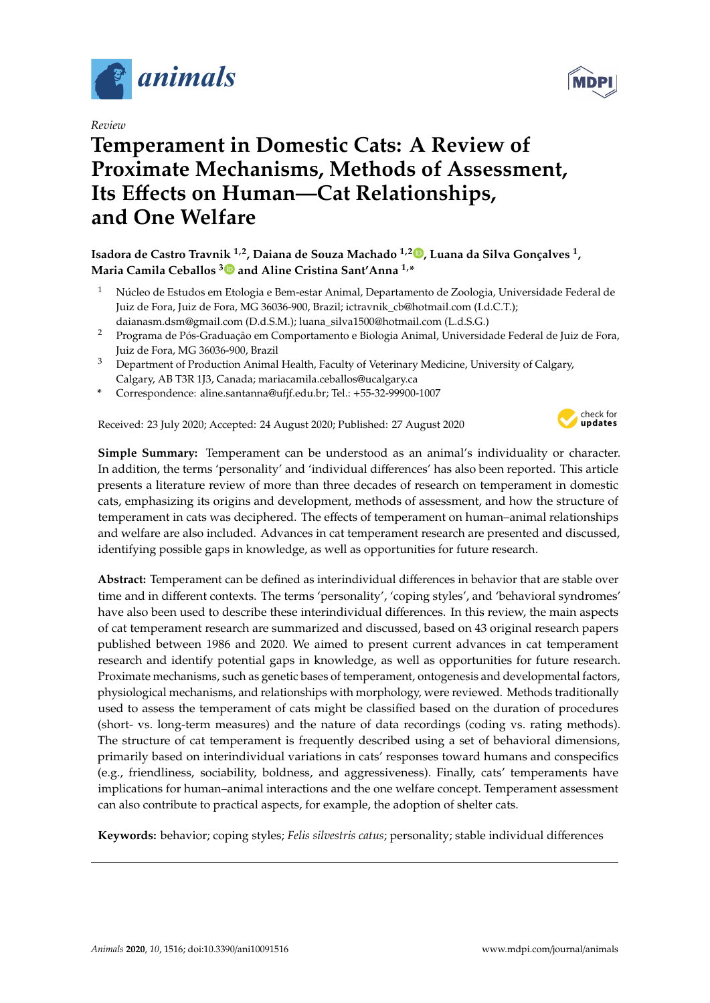

*Review*

# **Temperament in Domestic Cats: A Review of Proximate Mechanisms, Methods of Assessment, Its E**ff**ects on Human—Cat Relationships, and One Welfare**



# **Isadora de Castro Travnik 1,2, Daiana de Souza Machado 1,[2](https://orcid.org/0000-0002-5063-3696) , Luana da Silva Gonçalves <sup>1</sup> , Maria Camila Ceballos [3](https://orcid.org/0000-0002-4520-2904) and Aline Cristina Sant'Anna 1,\***

- <sup>1</sup> Núcleo de Estudos em Etologia e Bem-estar Animal, Departamento de Zoologia, Universidade Federal de Juiz de Fora, Juiz de Fora, MG 36036-900, Brazil; ictravnik\_cb@hotmail.com (I.d.C.T.); daianasm.dsm@gmail.com (D.d.S.M.); luana\_silva1500@hotmail.com (L.d.S.G.)
- <sup>2</sup> Programa de Pós-Graduação em Comportamento e Biologia Animal, Universidade Federal de Juiz de Fora, Juiz de Fora, MG 36036-900, Brazil
- <sup>3</sup> Department of Production Animal Health, Faculty of Veterinary Medicine, University of Calgary, Calgary, AB T3R 1J3, Canada; mariacamila.ceballos@ucalgary.ca
- **\*** Correspondence: aline.santanna@ufjf.edu.br; Tel.: +55-32-99900-1007

Received: 23 July 2020; Accepted: 24 August 2020; Published: 27 August 2020



**Simple Summary:** Temperament can be understood as an animal's individuality or character. In addition, the terms 'personality' and 'individual differences' has also been reported. This article presents a literature review of more than three decades of research on temperament in domestic cats, emphasizing its origins and development, methods of assessment, and how the structure of temperament in cats was deciphered. The effects of temperament on human–animal relationships and welfare are also included. Advances in cat temperament research are presented and discussed, identifying possible gaps in knowledge, as well as opportunities for future research.

**Abstract:** Temperament can be defined as interindividual differences in behavior that are stable over time and in different contexts. The terms 'personality', 'coping styles', and 'behavioral syndromes' have also been used to describe these interindividual differences. In this review, the main aspects of cat temperament research are summarized and discussed, based on 43 original research papers published between 1986 and 2020. We aimed to present current advances in cat temperament research and identify potential gaps in knowledge, as well as opportunities for future research. Proximate mechanisms, such as genetic bases of temperament, ontogenesis and developmental factors, physiological mechanisms, and relationships with morphology, were reviewed. Methods traditionally used to assess the temperament of cats might be classified based on the duration of procedures (short- vs. long-term measures) and the nature of data recordings (coding vs. rating methods). The structure of cat temperament is frequently described using a set of behavioral dimensions, primarily based on interindividual variations in cats' responses toward humans and conspecifics (e.g., friendliness, sociability, boldness, and aggressiveness). Finally, cats' temperaments have implications for human–animal interactions and the one welfare concept. Temperament assessment can also contribute to practical aspects, for example, the adoption of shelter cats.

**Keywords:** behavior; coping styles; *Felis silvestris catus*; personality; stable individual differences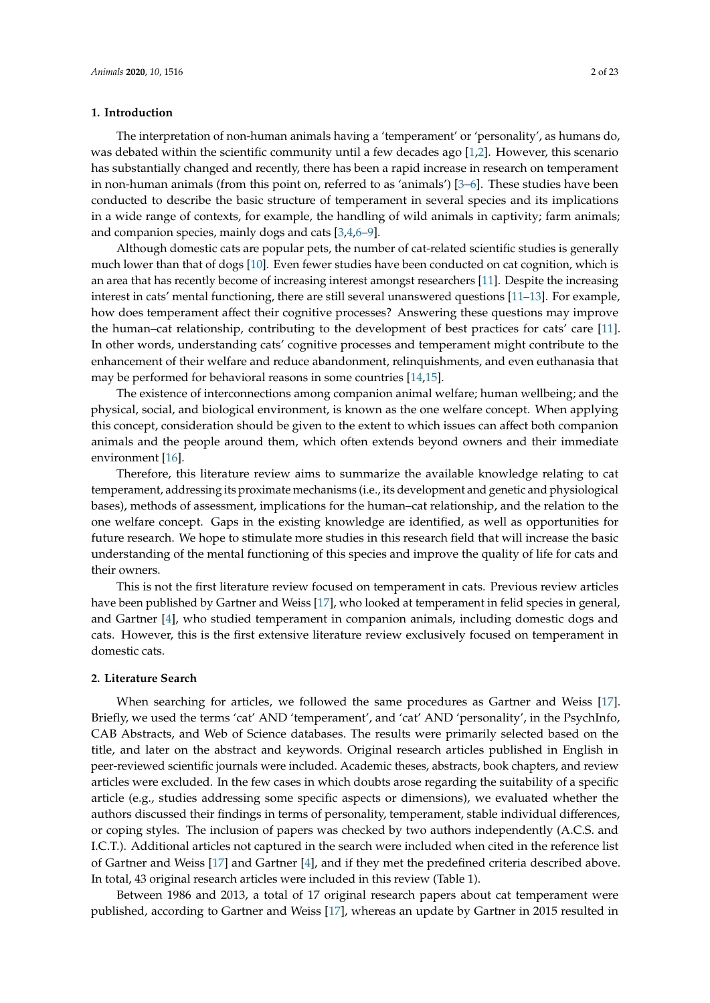# **1. Introduction**

The interpretation of non-human animals having a 'temperament' or 'personality', as humans do, was debated within the scientific community until a few decades ago [\[1](#page-17-0)[,2\]](#page-17-1). However, this scenario has substantially changed and recently, there has been a rapid increase in research on temperament in non-human animals (from this point on, referred to as 'animals') [\[3](#page-17-2)[–6\]](#page-17-3). These studies have been conducted to describe the basic structure of temperament in several species and its implications in a wide range of contexts, for example, the handling of wild animals in captivity; farm animals; and companion species, mainly dogs and cats [\[3](#page-17-2)[,4](#page-17-4)[,6](#page-17-3)[–9\]](#page-17-5).

Although domestic cats are popular pets, the number of cat-related scientific studies is generally much lower than that of dogs [\[10\]](#page-17-6). Even fewer studies have been conducted on cat cognition, which is an area that has recently become of increasing interest amongst researchers [\[11\]](#page-17-7). Despite the increasing interest in cats' mental functioning, there are still several unanswered questions [\[11](#page-17-7)[–13\]](#page-17-8). For example, how does temperament affect their cognitive processes? Answering these questions may improve the human–cat relationship, contributing to the development of best practices for cats' care [\[11\]](#page-17-7). In other words, understanding cats' cognitive processes and temperament might contribute to the enhancement of their welfare and reduce abandonment, relinquishments, and even euthanasia that may be performed for behavioral reasons in some countries [\[14](#page-17-9)[,15\]](#page-17-10).

The existence of interconnections among companion animal welfare; human wellbeing; and the physical, social, and biological environment, is known as the one welfare concept. When applying this concept, consideration should be given to the extent to which issues can affect both companion animals and the people around them, which often extends beyond owners and their immediate environment [\[16\]](#page-17-11).

Therefore, this literature review aims to summarize the available knowledge relating to cat temperament, addressing its proximate mechanisms (i.e., its development and genetic and physiological bases), methods of assessment, implications for the human–cat relationship, and the relation to the one welfare concept. Gaps in the existing knowledge are identified, as well as opportunities for future research. We hope to stimulate more studies in this research field that will increase the basic understanding of the mental functioning of this species and improve the quality of life for cats and their owners.

This is not the first literature review focused on temperament in cats. Previous review articles have been published by Gartner and Weiss [\[17\]](#page-17-12), who looked at temperament in felid species in general, and Gartner [\[4\]](#page-17-4), who studied temperament in companion animals, including domestic dogs and cats. However, this is the first extensive literature review exclusively focused on temperament in domestic cats.

# **2. Literature Search**

When searching for articles, we followed the same procedures as Gartner and Weiss [\[17\]](#page-17-12). Briefly, we used the terms 'cat' AND 'temperament', and 'cat' AND 'personality', in the PsychInfo, CAB Abstracts, and Web of Science databases. The results were primarily selected based on the title, and later on the abstract and keywords. Original research articles published in English in peer-reviewed scientific journals were included. Academic theses, abstracts, book chapters, and review articles were excluded. In the few cases in which doubts arose regarding the suitability of a specific article (e.g., studies addressing some specific aspects or dimensions), we evaluated whether the authors discussed their findings in terms of personality, temperament, stable individual differences, or coping styles. The inclusion of papers was checked by two authors independently (A.C.S. and I.C.T.). Additional articles not captured in the search were included when cited in the reference list of Gartner and Weiss [\[17\]](#page-17-12) and Gartner [\[4\]](#page-17-4), and if they met the predefined criteria described above. In total, 43 original research articles were included in this review (Table 1).

Between 1986 and 2013, a total of 17 original research papers about cat temperament were published, according to Gartner and Weiss [\[17\]](#page-17-12), whereas an update by Gartner in 2015 resulted in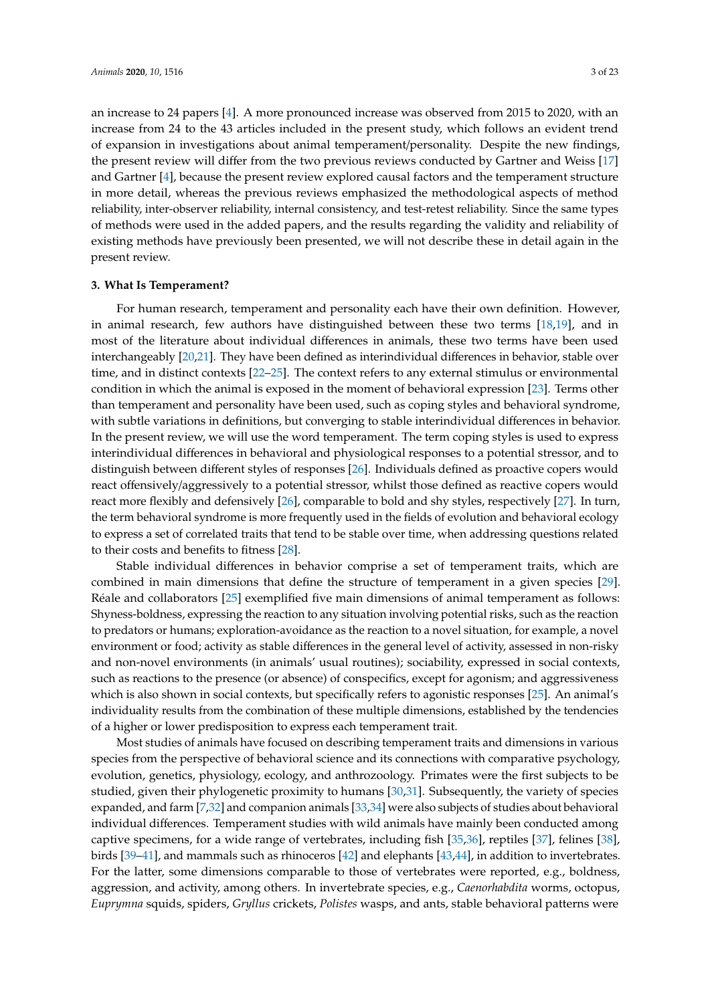an increase to 24 papers [\[4\]](#page-17-4). A more pronounced increase was observed from 2015 to 2020, with an increase from 24 to the 43 articles included in the present study, which follows an evident trend of expansion in investigations about animal temperament/personality. Despite the new findings, the present review will differ from the two previous reviews conducted by Gartner and Weiss [\[17\]](#page-17-12) and Gartner [\[4\]](#page-17-4), because the present review explored causal factors and the temperament structure in more detail, whereas the previous reviews emphasized the methodological aspects of method reliability, inter-observer reliability, internal consistency, and test-retest reliability. Since the same types of methods were used in the added papers, and the results regarding the validity and reliability of existing methods have previously been presented, we will not describe these in detail again in the present review.

# **3. What Is Temperament?**

For human research, temperament and personality each have their own definition. However, in animal research, few authors have distinguished between these two terms [\[18,](#page-17-13)[19\]](#page-17-14), and in most of the literature about individual differences in animals, these two terms have been used interchangeably [\[20,](#page-17-15)[21\]](#page-17-16). They have been defined as interindividual differences in behavior, stable over time, and in distinct contexts [\[22](#page-17-17)[–25\]](#page-17-18). The context refers to any external stimulus or environmental condition in which the animal is exposed in the moment of behavioral expression [\[23\]](#page-17-19). Terms other than temperament and personality have been used, such as coping styles and behavioral syndrome, with subtle variations in definitions, but converging to stable interindividual differences in behavior. In the present review, we will use the word temperament. The term coping styles is used to express interindividual differences in behavioral and physiological responses to a potential stressor, and to distinguish between different styles of responses [\[26\]](#page-18-0). Individuals defined as proactive copers would react offensively/aggressively to a potential stressor, whilst those defined as reactive copers would react more flexibly and defensively [\[26\]](#page-18-0), comparable to bold and shy styles, respectively [\[27\]](#page-18-1). In turn, the term behavioral syndrome is more frequently used in the fields of evolution and behavioral ecology to express a set of correlated traits that tend to be stable over time, when addressing questions related to their costs and benefits to fitness [\[28\]](#page-18-2).

Stable individual differences in behavior comprise a set of temperament traits, which are combined in main dimensions that define the structure of temperament in a given species [\[29\]](#page-18-3). Réale and collaborators [\[25\]](#page-17-18) exemplified five main dimensions of animal temperament as follows: Shyness-boldness, expressing the reaction to any situation involving potential risks, such as the reaction to predators or humans; exploration-avoidance as the reaction to a novel situation, for example, a novel environment or food; activity as stable differences in the general level of activity, assessed in non-risky and non-novel environments (in animals' usual routines); sociability, expressed in social contexts, such as reactions to the presence (or absence) of conspecifics, except for agonism; and aggressiveness which is also shown in social contexts, but specifically refers to agonistic responses [\[25\]](#page-17-18). An animal's individuality results from the combination of these multiple dimensions, established by the tendencies of a higher or lower predisposition to express each temperament trait.

Most studies of animals have focused on describing temperament traits and dimensions in various species from the perspective of behavioral science and its connections with comparative psychology, evolution, genetics, physiology, ecology, and anthrozoology. Primates were the first subjects to be studied, given their phylogenetic proximity to humans [\[30,](#page-18-4)[31\]](#page-18-5). Subsequently, the variety of species expanded, and farm [\[7,](#page-17-20)[32\]](#page-18-6) and companion animals [\[33](#page-18-7)[,34\]](#page-18-8) were also subjects of studies about behavioral individual differences. Temperament studies with wild animals have mainly been conducted among captive specimens, for a wide range of vertebrates, including fish [\[35,](#page-18-9)[36\]](#page-18-10), reptiles [\[37\]](#page-18-11), felines [\[38\]](#page-18-12), birds [\[39](#page-18-13)[–41\]](#page-18-14), and mammals such as rhinoceros [\[42\]](#page-18-15) and elephants [\[43](#page-18-16)[,44\]](#page-18-17), in addition to invertebrates. For the latter, some dimensions comparable to those of vertebrates were reported, e.g., boldness, aggression, and activity, among others. In invertebrate species, e.g., *Caenorhabdita* worms, octopus, *Euprymna* squids, spiders, *Gryllus* crickets, *Polistes* wasps, and ants, stable behavioral patterns were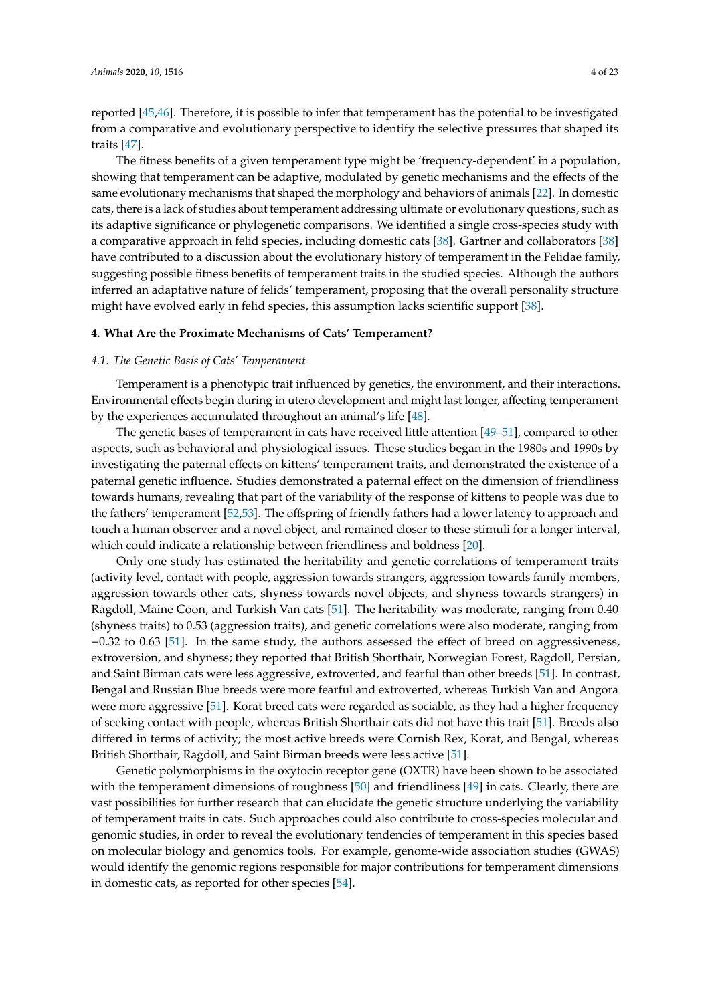reported [\[45,](#page-18-18)[46\]](#page-18-19). Therefore, it is possible to infer that temperament has the potential to be investigated from a comparative and evolutionary perspective to identify the selective pressures that shaped its traits [\[47\]](#page-18-20).

The fitness benefits of a given temperament type might be 'frequency-dependent' in a population, showing that temperament can be adaptive, modulated by genetic mechanisms and the effects of the same evolutionary mechanisms that shaped the morphology and behaviors of animals [\[22\]](#page-17-17). In domestic cats, there is a lack of studies about temperament addressing ultimate or evolutionary questions, such as its adaptive significance or phylogenetic comparisons. We identified a single cross-species study with a comparative approach in felid species, including domestic cats [\[38\]](#page-18-12). Gartner and collaborators [\[38\]](#page-18-12) have contributed to a discussion about the evolutionary history of temperament in the Felidae family, suggesting possible fitness benefits of temperament traits in the studied species. Although the authors inferred an adaptative nature of felids' temperament, proposing that the overall personality structure might have evolved early in felid species, this assumption lacks scientific support [\[38\]](#page-18-12).

# **4. What Are the Proximate Mechanisms of Cats' Temperament?**

# *4.1. The Genetic Basis of Cats' Temperament*

Temperament is a phenotypic trait influenced by genetics, the environment, and their interactions. Environmental effects begin during in utero development and might last longer, affecting temperament by the experiences accumulated throughout an animal's life [\[48\]](#page-18-21).

The genetic bases of temperament in cats have received little attention [\[49](#page-19-0)[–51\]](#page-19-1), compared to other aspects, such as behavioral and physiological issues. These studies began in the 1980s and 1990s by investigating the paternal effects on kittens' temperament traits, and demonstrated the existence of a paternal genetic influence. Studies demonstrated a paternal effect on the dimension of friendliness towards humans, revealing that part of the variability of the response of kittens to people was due to the fathers' temperament [\[52,](#page-19-2)[53\]](#page-19-3). The offspring of friendly fathers had a lower latency to approach and touch a human observer and a novel object, and remained closer to these stimuli for a longer interval, which could indicate a relationship between friendliness and boldness [\[20\]](#page-17-15).

Only one study has estimated the heritability and genetic correlations of temperament traits (activity level, contact with people, aggression towards strangers, aggression towards family members, aggression towards other cats, shyness towards novel objects, and shyness towards strangers) in Ragdoll, Maine Coon, and Turkish Van cats [\[51\]](#page-19-1). The heritability was moderate, ranging from 0.40 (shyness traits) to 0.53 (aggression traits), and genetic correlations were also moderate, ranging from −0.32 to 0.63 [\[51\]](#page-19-1). In the same study, the authors assessed the effect of breed on aggressiveness, extroversion, and shyness; they reported that British Shorthair, Norwegian Forest, Ragdoll, Persian, and Saint Birman cats were less aggressive, extroverted, and fearful than other breeds [\[51\]](#page-19-1). In contrast, Bengal and Russian Blue breeds were more fearful and extroverted, whereas Turkish Van and Angora were more aggressive [\[51\]](#page-19-1). Korat breed cats were regarded as sociable, as they had a higher frequency of seeking contact with people, whereas British Shorthair cats did not have this trait [\[51\]](#page-19-1). Breeds also differed in terms of activity; the most active breeds were Cornish Rex, Korat, and Bengal, whereas British Shorthair, Ragdoll, and Saint Birman breeds were less active [\[51\]](#page-19-1).

Genetic polymorphisms in the oxytocin receptor gene (OXTR) have been shown to be associated with the temperament dimensions of roughness [\[50\]](#page-19-4) and friendliness [\[49\]](#page-19-0) in cats. Clearly, there are vast possibilities for further research that can elucidate the genetic structure underlying the variability of temperament traits in cats. Such approaches could also contribute to cross-species molecular and genomic studies, in order to reveal the evolutionary tendencies of temperament in this species based on molecular biology and genomics tools. For example, genome-wide association studies (GWAS) would identify the genomic regions responsible for major contributions for temperament dimensions in domestic cats, as reported for other species [\[54\]](#page-19-5).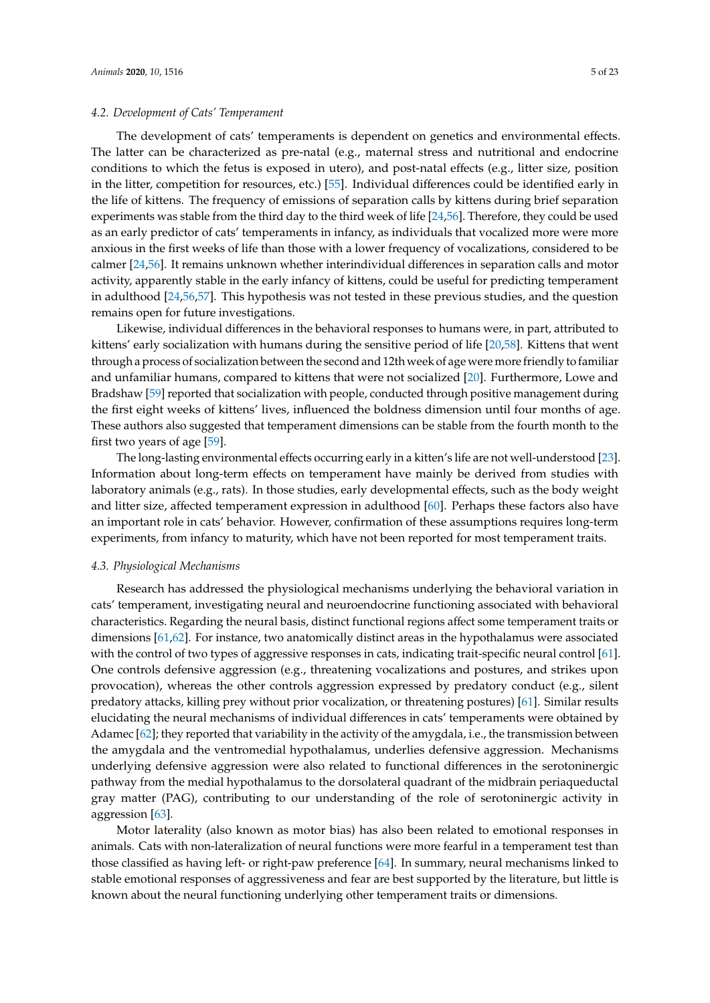## *4.2. Development of Cats' Temperament*

The development of cats' temperaments is dependent on genetics and environmental effects. The latter can be characterized as pre-natal (e.g., maternal stress and nutritional and endocrine conditions to which the fetus is exposed in utero), and post-natal effects (e.g., litter size, position in the litter, competition for resources, etc.) [\[55\]](#page-19-6). Individual differences could be identified early in the life of kittens. The frequency of emissions of separation calls by kittens during brief separation experiments was stable from the third day to the third week of life [\[24,](#page-17-21)[56\]](#page-19-7). Therefore, they could be used as an early predictor of cats' temperaments in infancy, as individuals that vocalized more were more anxious in the first weeks of life than those with a lower frequency of vocalizations, considered to be calmer [\[24](#page-17-21)[,56\]](#page-19-7). It remains unknown whether interindividual differences in separation calls and motor activity, apparently stable in the early infancy of kittens, could be useful for predicting temperament in adulthood [\[24](#page-17-21)[,56](#page-19-7)[,57\]](#page-19-8). This hypothesis was not tested in these previous studies, and the question remains open for future investigations.

Likewise, individual differences in the behavioral responses to humans were, in part, attributed to kittens' early socialization with humans during the sensitive period of life [\[20](#page-17-15)[,58\]](#page-19-9). Kittens that went through a process of socialization between the second and 12th week of age were more friendly to familiar and unfamiliar humans, compared to kittens that were not socialized [\[20\]](#page-17-15). Furthermore, Lowe and Bradshaw [\[59\]](#page-19-10) reported that socialization with people, conducted through positive management during the first eight weeks of kittens' lives, influenced the boldness dimension until four months of age. These authors also suggested that temperament dimensions can be stable from the fourth month to the first two years of age [\[59\]](#page-19-10).

The long-lasting environmental effects occurring early in a kitten's life are not well-understood [\[23\]](#page-17-19). Information about long-term effects on temperament have mainly be derived from studies with laboratory animals (e.g., rats). In those studies, early developmental effects, such as the body weight and litter size, affected temperament expression in adulthood [\[60\]](#page-19-11). Perhaps these factors also have an important role in cats' behavior. However, confirmation of these assumptions requires long-term experiments, from infancy to maturity, which have not been reported for most temperament traits.

#### *4.3. Physiological Mechanisms*

Research has addressed the physiological mechanisms underlying the behavioral variation in cats' temperament, investigating neural and neuroendocrine functioning associated with behavioral characteristics. Regarding the neural basis, distinct functional regions affect some temperament traits or dimensions [\[61,](#page-19-12)[62\]](#page-19-13). For instance, two anatomically distinct areas in the hypothalamus were associated with the control of two types of aggressive responses in cats, indicating trait-specific neural control [\[61\]](#page-19-12). One controls defensive aggression (e.g., threatening vocalizations and postures, and strikes upon provocation), whereas the other controls aggression expressed by predatory conduct (e.g., silent predatory attacks, killing prey without prior vocalization, or threatening postures) [\[61\]](#page-19-12). Similar results elucidating the neural mechanisms of individual differences in cats' temperaments were obtained by Adamec [\[62\]](#page-19-13); they reported that variability in the activity of the amygdala, i.e., the transmission between the amygdala and the ventromedial hypothalamus, underlies defensive aggression. Mechanisms underlying defensive aggression were also related to functional differences in the serotoninergic pathway from the medial hypothalamus to the dorsolateral quadrant of the midbrain periaqueductal gray matter (PAG), contributing to our understanding of the role of serotoninergic activity in aggression [\[63\]](#page-19-14).

Motor laterality (also known as motor bias) has also been related to emotional responses in animals. Cats with non-lateralization of neural functions were more fearful in a temperament test than those classified as having left- or right-paw preference [\[64\]](#page-19-15). In summary, neural mechanisms linked to stable emotional responses of aggressiveness and fear are best supported by the literature, but little is known about the neural functioning underlying other temperament traits or dimensions.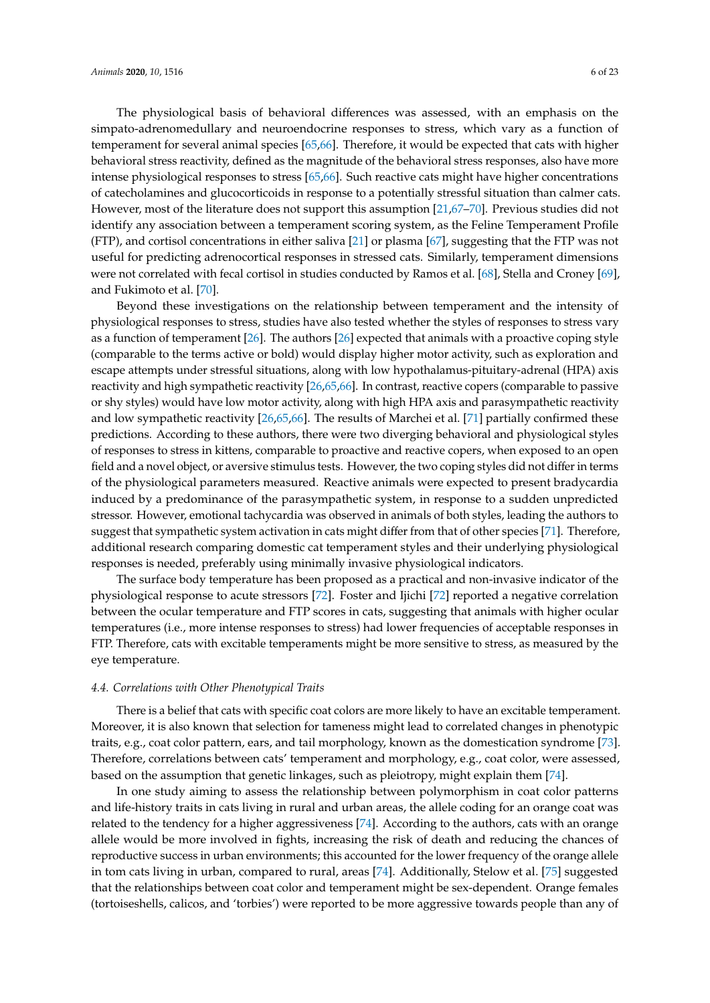The physiological basis of behavioral differences was assessed, with an emphasis on the simpato-adrenomedullary and neuroendocrine responses to stress, which vary as a function of temperament for several animal species [\[65](#page-19-16)[,66\]](#page-19-17). Therefore, it would be expected that cats with higher behavioral stress reactivity, defined as the magnitude of the behavioral stress responses, also have more intense physiological responses to stress [\[65](#page-19-16)[,66\]](#page-19-17). Such reactive cats might have higher concentrations of catecholamines and glucocorticoids in response to a potentially stressful situation than calmer cats. However, most of the literature does not support this assumption [\[21](#page-17-16)[,67–](#page-19-18)[70\]](#page-20-0). Previous studies did not identify any association between a temperament scoring system, as the Feline Temperament Profile (FTP), and cortisol concentrations in either saliva [\[21\]](#page-17-16) or plasma [\[67\]](#page-19-18), suggesting that the FTP was not useful for predicting adrenocortical responses in stressed cats. Similarly, temperament dimensions were not correlated with fecal cortisol in studies conducted by Ramos et al. [\[68\]](#page-19-19), Stella and Croney [\[69\]](#page-19-20), and Fukimoto et al. [\[70\]](#page-20-0).

Beyond these investigations on the relationship between temperament and the intensity of physiological responses to stress, studies have also tested whether the styles of responses to stress vary as a function of temperament [\[26\]](#page-18-0). The authors [\[26\]](#page-18-0) expected that animals with a proactive coping style (comparable to the terms active or bold) would display higher motor activity, such as exploration and escape attempts under stressful situations, along with low hypothalamus-pituitary-adrenal (HPA) axis reactivity and high sympathetic reactivity [\[26,](#page-18-0)[65](#page-19-16)[,66\]](#page-19-17). In contrast, reactive copers (comparable to passive or shy styles) would have low motor activity, along with high HPA axis and parasympathetic reactivity and low sympathetic reactivity [\[26](#page-18-0)[,65](#page-19-16)[,66\]](#page-19-17). The results of Marchei et al. [\[71\]](#page-20-1) partially confirmed these predictions. According to these authors, there were two diverging behavioral and physiological styles of responses to stress in kittens, comparable to proactive and reactive copers, when exposed to an open field and a novel object, or aversive stimulus tests. However, the two coping styles did not differ in terms of the physiological parameters measured. Reactive animals were expected to present bradycardia induced by a predominance of the parasympathetic system, in response to a sudden unpredicted stressor. However, emotional tachycardia was observed in animals of both styles, leading the authors to suggest that sympathetic system activation in cats might differ from that of other species [\[71\]](#page-20-1). Therefore, additional research comparing domestic cat temperament styles and their underlying physiological responses is needed, preferably using minimally invasive physiological indicators.

The surface body temperature has been proposed as a practical and non-invasive indicator of the physiological response to acute stressors [\[72\]](#page-20-2). Foster and Ijichi [\[72\]](#page-20-2) reported a negative correlation between the ocular temperature and FTP scores in cats, suggesting that animals with higher ocular temperatures (i.e., more intense responses to stress) had lower frequencies of acceptable responses in FTP. Therefore, cats with excitable temperaments might be more sensitive to stress, as measured by the eye temperature.

#### *4.4. Correlations with Other Phenotypical Traits*

There is a belief that cats with specific coat colors are more likely to have an excitable temperament. Moreover, it is also known that selection for tameness might lead to correlated changes in phenotypic traits, e.g., coat color pattern, ears, and tail morphology, known as the domestication syndrome [\[73\]](#page-20-3). Therefore, correlations between cats' temperament and morphology, e.g., coat color, were assessed, based on the assumption that genetic linkages, such as pleiotropy, might explain them [\[74\]](#page-20-4).

In one study aiming to assess the relationship between polymorphism in coat color patterns and life-history traits in cats living in rural and urban areas, the allele coding for an orange coat was related to the tendency for a higher aggressiveness [\[74\]](#page-20-4). According to the authors, cats with an orange allele would be more involved in fights, increasing the risk of death and reducing the chances of reproductive success in urban environments; this accounted for the lower frequency of the orange allele in tom cats living in urban, compared to rural, areas [\[74\]](#page-20-4). Additionally, Stelow et al. [\[75\]](#page-20-5) suggested that the relationships between coat color and temperament might be sex-dependent. Orange females (tortoiseshells, calicos, and 'torbies') were reported to be more aggressive towards people than any of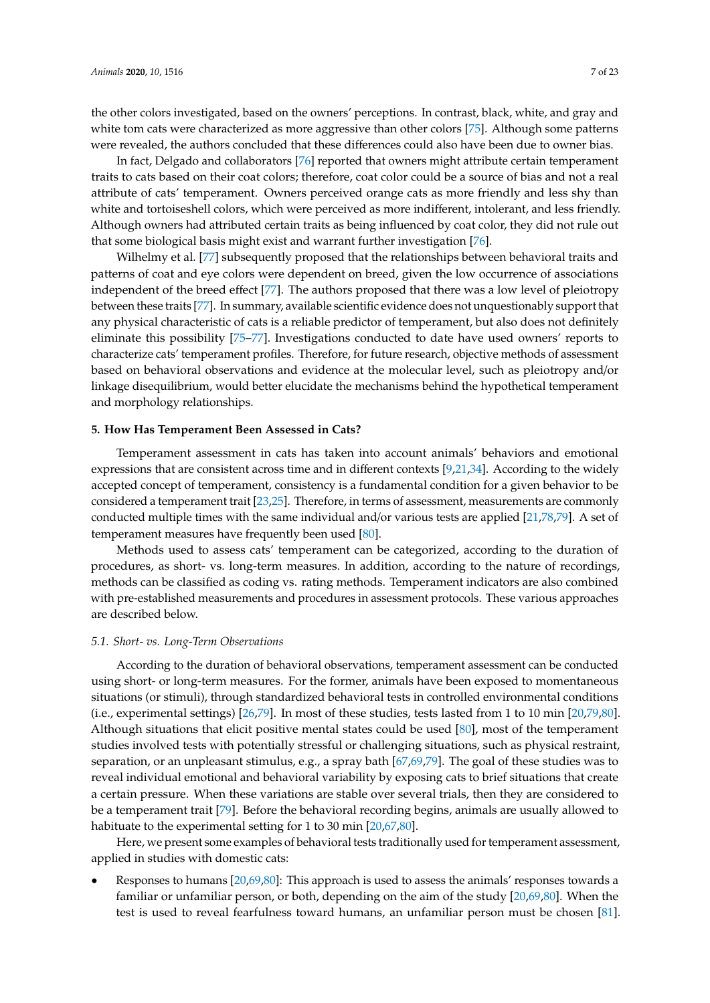the other colors investigated, based on the owners' perceptions. In contrast, black, white, and gray and white tom cats were characterized as more aggressive than other colors [\[75\]](#page-20-5). Although some patterns were revealed, the authors concluded that these differences could also have been due to owner bias.

In fact, Delgado and collaborators [\[76\]](#page-20-6) reported that owners might attribute certain temperament traits to cats based on their coat colors; therefore, coat color could be a source of bias and not a real attribute of cats' temperament. Owners perceived orange cats as more friendly and less shy than white and tortoiseshell colors, which were perceived as more indifferent, intolerant, and less friendly. Although owners had attributed certain traits as being influenced by coat color, they did not rule out that some biological basis might exist and warrant further investigation [\[76\]](#page-20-6).

Wilhelmy et al. [\[77\]](#page-20-7) subsequently proposed that the relationships between behavioral traits and patterns of coat and eye colors were dependent on breed, given the low occurrence of associations independent of the breed effect [\[77\]](#page-20-7). The authors proposed that there was a low level of pleiotropy between these traits [\[77\]](#page-20-7). In summary, available scientific evidence does not unquestionably support that any physical characteristic of cats is a reliable predictor of temperament, but also does not definitely eliminate this possibility [\[75](#page-20-5)[–77\]](#page-20-7). Investigations conducted to date have used owners' reports to characterize cats' temperament profiles. Therefore, for future research, objective methods of assessment based on behavioral observations and evidence at the molecular level, such as pleiotropy and/or linkage disequilibrium, would better elucidate the mechanisms behind the hypothetical temperament and morphology relationships.

#### **5. How Has Temperament Been Assessed in Cats?**

Temperament assessment in cats has taken into account animals' behaviors and emotional expressions that are consistent across time and in different contexts [\[9](#page-17-5)[,21](#page-17-16)[,34\]](#page-18-8). According to the widely accepted concept of temperament, consistency is a fundamental condition for a given behavior to be considered a temperament trait [\[23](#page-17-19)[,25\]](#page-17-18). Therefore, in terms of assessment, measurements are commonly conducted multiple times with the same individual and/or various tests are applied [\[21,](#page-17-16)[78,](#page-20-8)[79\]](#page-20-9). A set of temperament measures have frequently been used [\[80\]](#page-20-10).

Methods used to assess cats' temperament can be categorized, according to the duration of procedures, as short- vs. long-term measures. In addition, according to the nature of recordings, methods can be classified as coding vs. rating methods. Temperament indicators are also combined with pre-established measurements and procedures in assessment protocols. These various approaches are described below.

#### *5.1. Short- vs. Long-Term Observations*

According to the duration of behavioral observations, temperament assessment can be conducted using short- or long-term measures. For the former, animals have been exposed to momentaneous situations (or stimuli), through standardized behavioral tests in controlled environmental conditions (i.e., experimental settings) [\[26](#page-18-0)[,79\]](#page-20-9). In most of these studies, tests lasted from 1 to 10 min [\[20,](#page-17-15)[79,](#page-20-9)[80\]](#page-20-10). Although situations that elicit positive mental states could be used [\[80\]](#page-20-10), most of the temperament studies involved tests with potentially stressful or challenging situations, such as physical restraint, separation, or an unpleasant stimulus, e.g., a spray bath [\[67,](#page-19-18)[69,](#page-19-20)[79\]](#page-20-9). The goal of these studies was to reveal individual emotional and behavioral variability by exposing cats to brief situations that create a certain pressure. When these variations are stable over several trials, then they are considered to be a temperament trait [\[79\]](#page-20-9). Before the behavioral recording begins, animals are usually allowed to habituate to the experimental setting for 1 to 30 min [\[20,](#page-17-15)[67,](#page-19-18)[80\]](#page-20-10).

Here, we present some examples of behavioral tests traditionally used for temperament assessment, applied in studies with domestic cats:

• Responses to humans [\[20](#page-17-15)[,69](#page-19-20)[,80\]](#page-20-10): This approach is used to assess the animals' responses towards a familiar or unfamiliar person, or both, depending on the aim of the study [\[20](#page-17-15)[,69](#page-19-20)[,80\]](#page-20-10). When the test is used to reveal fearfulness toward humans, an unfamiliar person must be chosen [\[81\]](#page-20-11).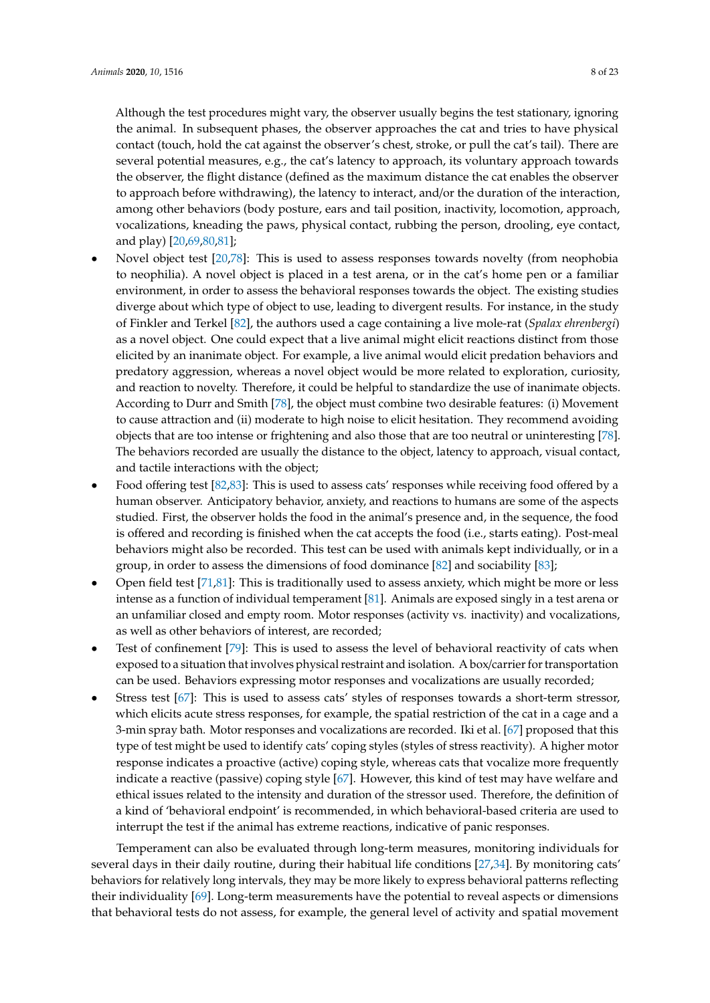Although the test procedures might vary, the observer usually begins the test stationary, ignoring the animal. In subsequent phases, the observer approaches the cat and tries to have physical contact (touch, hold the cat against the observer's chest, stroke, or pull the cat's tail). There are several potential measures, e.g., the cat's latency to approach, its voluntary approach towards the observer, the flight distance (defined as the maximum distance the cat enables the observer to approach before withdrawing), the latency to interact, and/or the duration of the interaction, among other behaviors (body posture, ears and tail position, inactivity, locomotion, approach, vocalizations, kneading the paws, physical contact, rubbing the person, drooling, eye contact, and play) [\[20,](#page-17-15)[69,](#page-19-20)[80,](#page-20-10)[81\]](#page-20-11);

- Novel object test [\[20](#page-17-15)[,78\]](#page-20-8): This is used to assess responses towards novelty (from neophobia to neophilia). A novel object is placed in a test arena, or in the cat's home pen or a familiar environment, in order to assess the behavioral responses towards the object. The existing studies diverge about which type of object to use, leading to divergent results. For instance, in the study of Finkler and Terkel [\[82\]](#page-20-12), the authors used a cage containing a live mole-rat (*Spalax ehrenbergi*) as a novel object. One could expect that a live animal might elicit reactions distinct from those elicited by an inanimate object. For example, a live animal would elicit predation behaviors and predatory aggression, whereas a novel object would be more related to exploration, curiosity, and reaction to novelty. Therefore, it could be helpful to standardize the use of inanimate objects. According to Durr and Smith [\[78\]](#page-20-8), the object must combine two desirable features: (i) Movement to cause attraction and (ii) moderate to high noise to elicit hesitation. They recommend avoiding objects that are too intense or frightening and also those that are too neutral or uninteresting [\[78\]](#page-20-8). The behaviors recorded are usually the distance to the object, latency to approach, visual contact, and tactile interactions with the object;
- Food offering test [\[82](#page-20-12)[,83\]](#page-20-13): This is used to assess cats' responses while receiving food offered by a human observer. Anticipatory behavior, anxiety, and reactions to humans are some of the aspects studied. First, the observer holds the food in the animal's presence and, in the sequence, the food is offered and recording is finished when the cat accepts the food (i.e., starts eating). Post-meal behaviors might also be recorded. This test can be used with animals kept individually, or in a group, in order to assess the dimensions of food dominance [\[82\]](#page-20-12) and sociability [\[83\]](#page-20-13);
- Open field test [\[71](#page-20-1)[,81\]](#page-20-11): This is traditionally used to assess anxiety, which might be more or less intense as a function of individual temperament [\[81\]](#page-20-11). Animals are exposed singly in a test arena or an unfamiliar closed and empty room. Motor responses (activity vs. inactivity) and vocalizations, as well as other behaviors of interest, are recorded;
- Test of confinement [\[79\]](#page-20-9): This is used to assess the level of behavioral reactivity of cats when exposed to a situation that involves physical restraint and isolation. A box/carrier for transportation can be used. Behaviors expressing motor responses and vocalizations are usually recorded;
- Stress test [\[67\]](#page-19-18): This is used to assess cats' styles of responses towards a short-term stressor, which elicits acute stress responses, for example, the spatial restriction of the cat in a cage and a 3-min spray bath. Motor responses and vocalizations are recorded. Iki et al. [\[67\]](#page-19-18) proposed that this type of test might be used to identify cats' coping styles (styles of stress reactivity). A higher motor response indicates a proactive (active) coping style, whereas cats that vocalize more frequently indicate a reactive (passive) coping style [\[67\]](#page-19-18). However, this kind of test may have welfare and ethical issues related to the intensity and duration of the stressor used. Therefore, the definition of a kind of 'behavioral endpoint' is recommended, in which behavioral-based criteria are used to interrupt the test if the animal has extreme reactions, indicative of panic responses.

Temperament can also be evaluated through long-term measures, monitoring individuals for several days in their daily routine, during their habitual life conditions [\[27](#page-18-1)[,34\]](#page-18-8). By monitoring cats' behaviors for relatively long intervals, they may be more likely to express behavioral patterns reflecting their individuality [\[69\]](#page-19-20). Long-term measurements have the potential to reveal aspects or dimensions that behavioral tests do not assess, for example, the general level of activity and spatial movement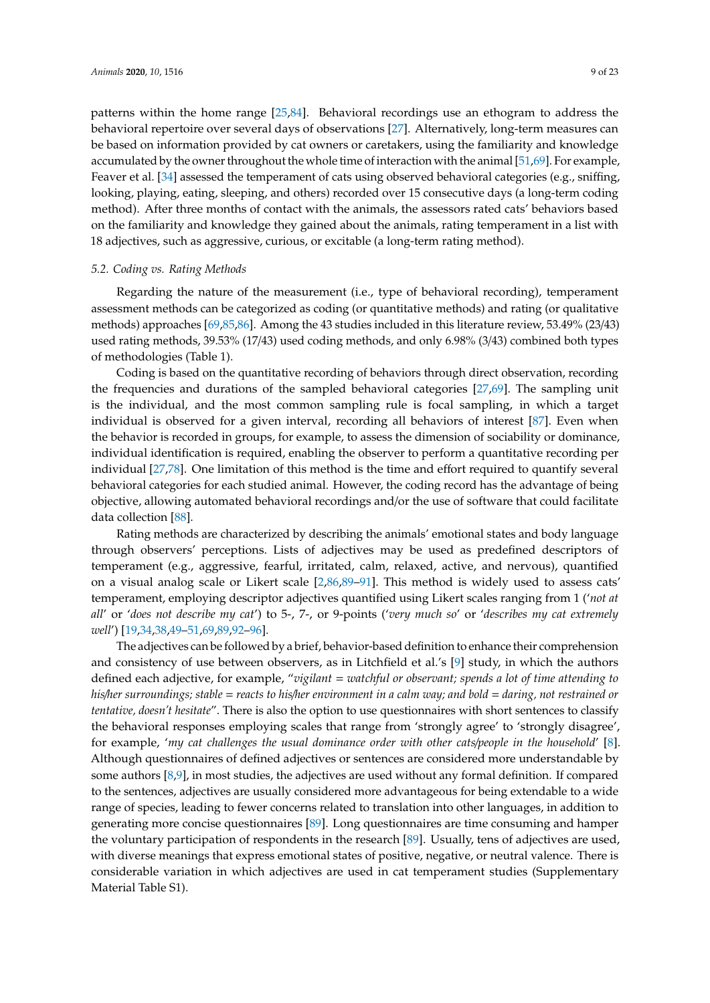patterns within the home range [\[25](#page-17-18)[,84\]](#page-20-14). Behavioral recordings use an ethogram to address the behavioral repertoire over several days of observations [\[27\]](#page-18-1). Alternatively, long-term measures can be based on information provided by cat owners or caretakers, using the familiarity and knowledge accumulated by the owner throughout the whole time of interaction with the animal [\[51](#page-19-1)[,69\]](#page-19-20). For example, Feaver et al. [\[34\]](#page-18-8) assessed the temperament of cats using observed behavioral categories (e.g., sniffing, looking, playing, eating, sleeping, and others) recorded over 15 consecutive days (a long-term coding method). After three months of contact with the animals, the assessors rated cats' behaviors based on the familiarity and knowledge they gained about the animals, rating temperament in a list with 18 adjectives, such as aggressive, curious, or excitable (a long-term rating method).

#### *5.2. Coding vs. Rating Methods*

Regarding the nature of the measurement (i.e., type of behavioral recording), temperament assessment methods can be categorized as coding (or quantitative methods) and rating (or qualitative methods) approaches [\[69](#page-19-20)[,85](#page-20-15)[,86\]](#page-20-16). Among the 43 studies included in this literature review, 53.49% (23/43) used rating methods, 39.53% (17/43) used coding methods, and only 6.98% (3/43) combined both types of methodologies (Table 1).

Coding is based on the quantitative recording of behaviors through direct observation, recording the frequencies and durations of the sampled behavioral categories [\[27](#page-18-1)[,69\]](#page-19-20). The sampling unit is the individual, and the most common sampling rule is focal sampling, in which a target individual is observed for a given interval, recording all behaviors of interest [\[87\]](#page-20-17). Even when the behavior is recorded in groups, for example, to assess the dimension of sociability or dominance, individual identification is required, enabling the observer to perform a quantitative recording per individual [\[27](#page-18-1)[,78\]](#page-20-8). One limitation of this method is the time and effort required to quantify several behavioral categories for each studied animal. However, the coding record has the advantage of being objective, allowing automated behavioral recordings and/or the use of software that could facilitate data collection [\[88\]](#page-20-18).

Rating methods are characterized by describing the animals' emotional states and body language through observers' perceptions. Lists of adjectives may be used as predefined descriptors of temperament (e.g., aggressive, fearful, irritated, calm, relaxed, active, and nervous), quantified on a visual analog scale or Likert scale [\[2,](#page-17-1)[86,](#page-20-16)[89–](#page-20-19)[91\]](#page-20-20). This method is widely used to assess cats' temperament, employing descriptor adjectives quantified using Likert scales ranging from 1 ('*not at all*' or '*does not describe my cat*') to 5-, 7-, or 9-points ('*very much so*' or '*describes my cat extremely well*') [\[19](#page-17-14)[,34](#page-18-8)[,38](#page-18-12)[,49](#page-19-0)[–51](#page-19-1)[,69](#page-19-20)[,89,](#page-20-19)[92–](#page-20-21)[96\]](#page-21-0).

The adjectives can be followed by a brief, behavior-based definition to enhance their comprehension and consistency of use between observers, as in Litchfield et al.'s [\[9\]](#page-17-5) study, in which the authors defined each adjective, for example, "*vigilant* = *watchful or observant; spends a lot of time attending to his*/*her surroundings; stable* = *reacts to his*/*her environment in a calm way; and bold* = *daring, not restrained or tentative, doesn't hesitate*". There is also the option to use questionnaires with short sentences to classify the behavioral responses employing scales that range from 'strongly agree' to 'strongly disagree', for example, '*my cat challenges the usual dominance order with other cats*/*people in the household*' [\[8\]](#page-17-22). Although questionnaires of defined adjectives or sentences are considered more understandable by some authors [\[8,](#page-17-22)[9\]](#page-17-5), in most studies, the adjectives are used without any formal definition. If compared to the sentences, adjectives are usually considered more advantageous for being extendable to a wide range of species, leading to fewer concerns related to translation into other languages, in addition to generating more concise questionnaires [\[89\]](#page-20-19). Long questionnaires are time consuming and hamper the voluntary participation of respondents in the research [\[89\]](#page-20-19). Usually, tens of adjectives are used, with diverse meanings that express emotional states of positive, negative, or neutral valence. There is considerable variation in which adjectives are used in cat temperament studies (Supplementary Material Table S1).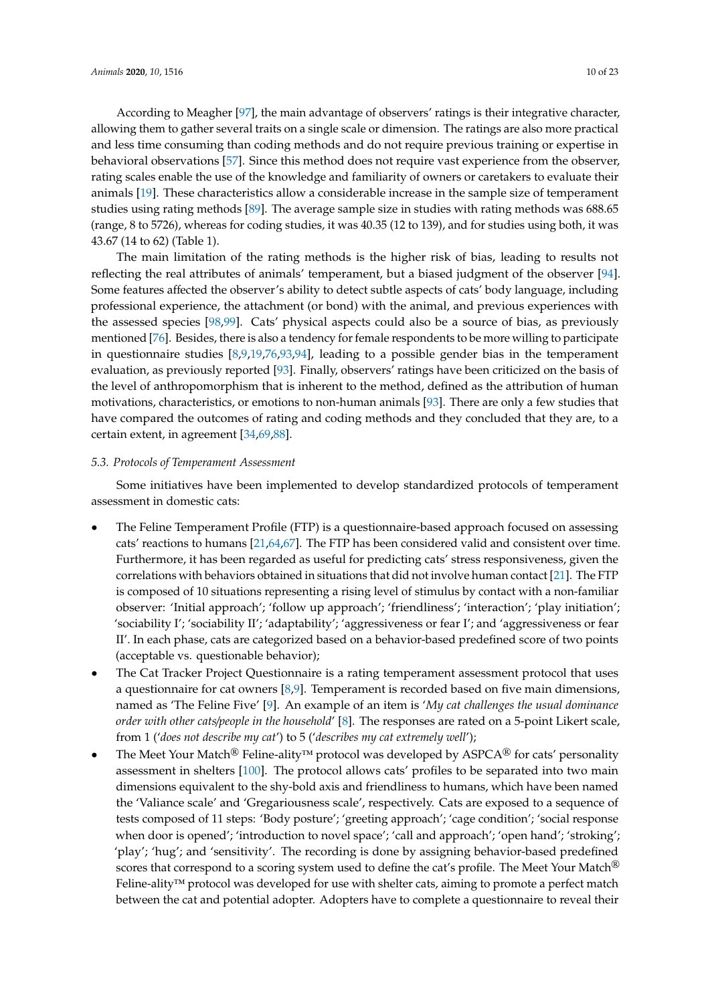According to Meagher [\[97\]](#page-21-1), the main advantage of observers' ratings is their integrative character, allowing them to gather several traits on a single scale or dimension. The ratings are also more practical and less time consuming than coding methods and do not require previous training or expertise in behavioral observations [\[57\]](#page-19-8). Since this method does not require vast experience from the observer, rating scales enable the use of the knowledge and familiarity of owners or caretakers to evaluate their animals [\[19\]](#page-17-14). These characteristics allow a considerable increase in the sample size of temperament studies using rating methods [\[89\]](#page-20-19). The average sample size in studies with rating methods was 688.65 (range, 8 to 5726), whereas for coding studies, it was 40.35 (12 to 139), and for studies using both, it was 43.67 (14 to 62) (Table 1).

The main limitation of the rating methods is the higher risk of bias, leading to results not reflecting the real attributes of animals' temperament, but a biased judgment of the observer [\[94\]](#page-20-22). Some features affected the observer's ability to detect subtle aspects of cats' body language, including professional experience, the attachment (or bond) with the animal, and previous experiences with the assessed species [\[98,](#page-21-2)[99\]](#page-21-3). Cats' physical aspects could also be a source of bias, as previously mentioned [\[76\]](#page-20-6). Besides, there is also a tendency for female respondents to be more willing to participate in questionnaire studies [\[8](#page-17-22)[,9](#page-17-5)[,19](#page-17-14)[,76](#page-20-6)[,93](#page-20-23)[,94\]](#page-20-22), leading to a possible gender bias in the temperament evaluation, as previously reported [\[93\]](#page-20-23). Finally, observers' ratings have been criticized on the basis of the level of anthropomorphism that is inherent to the method, defined as the attribution of human motivations, characteristics, or emotions to non-human animals [\[93\]](#page-20-23). There are only a few studies that have compared the outcomes of rating and coding methods and they concluded that they are, to a certain extent, in agreement [\[34](#page-18-8)[,69](#page-19-20)[,88\]](#page-20-18).

# *5.3. Protocols of Temperament Assessment*

Some initiatives have been implemented to develop standardized protocols of temperament assessment in domestic cats:

- The Feline Temperament Profile (FTP) is a questionnaire-based approach focused on assessing cats' reactions to humans [\[21](#page-17-16)[,64](#page-19-15)[,67\]](#page-19-18). The FTP has been considered valid and consistent over time. Furthermore, it has been regarded as useful for predicting cats' stress responsiveness, given the correlations with behaviors obtained in situations that did not involve human contact [\[21\]](#page-17-16). The FTP is composed of 10 situations representing a rising level of stimulus by contact with a non-familiar observer: 'Initial approach'; 'follow up approach'; 'friendliness'; 'interaction'; 'play initiation'; 'sociability I'; 'sociability II'; 'adaptability'; 'aggressiveness or fear I'; and 'aggressiveness or fear II'. In each phase, cats are categorized based on a behavior-based predefined score of two points (acceptable vs. questionable behavior);
- The Cat Tracker Project Questionnaire is a rating temperament assessment protocol that uses a questionnaire for cat owners [\[8](#page-17-22)[,9\]](#page-17-5). Temperament is recorded based on five main dimensions, named as 'The Feline Five' [\[9\]](#page-17-5). An example of an item is '*My cat challenges the usual dominance order with other cats*/*people in the household*' [\[8\]](#page-17-22). The responses are rated on a 5-point Likert scale, from 1 ('*does not describe my cat*') to 5 ('*describes my cat extremely well*');
- The Meet Your Match<sup>®</sup> Feline-ality<sup>™</sup> protocol was developed by ASPCA<sup>®</sup> for cats' personality assessment in shelters [\[100\]](#page-21-4). The protocol allows cats' profiles to be separated into two main dimensions equivalent to the shy-bold axis and friendliness to humans, which have been named the 'Valiance scale' and 'Gregariousness scale', respectively. Cats are exposed to a sequence of tests composed of 11 steps: 'Body posture'; 'greeting approach'; 'cage condition'; 'social response when door is opened'; 'introduction to novel space'; 'call and approach'; 'open hand'; 'stroking'; 'play'; 'hug'; and 'sensitivity'. The recording is done by assigning behavior-based predefined scores that correspond to a scoring system used to define the cat's profile. The Meet Your Match<sup>®</sup> Feline-ality™ protocol was developed for use with shelter cats, aiming to promote a perfect match between the cat and potential adopter. Adopters have to complete a questionnaire to reveal their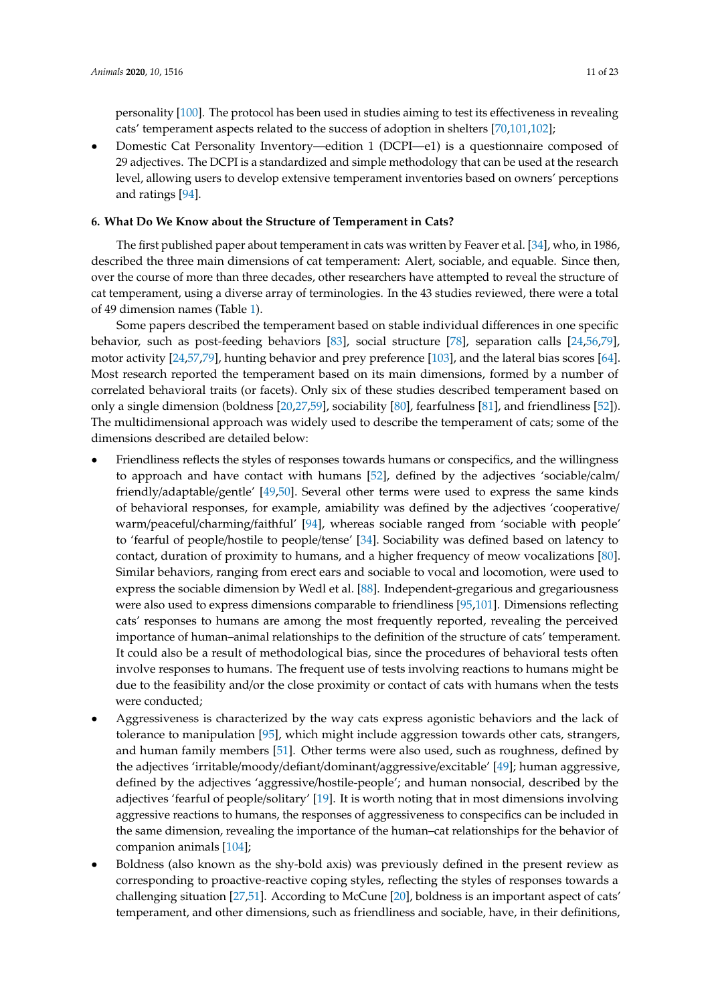personality [\[100\]](#page-21-4). The protocol has been used in studies aiming to test its effectiveness in revealing cats' temperament aspects related to the success of adoption in shelters [\[70,](#page-20-0)[101,](#page-21-5)[102\]](#page-21-6);

• Domestic Cat Personality Inventory—edition 1 (DCPI—e1) is a questionnaire composed of 29 adjectives. The DCPI is a standardized and simple methodology that can be used at the research level, allowing users to develop extensive temperament inventories based on owners' perceptions and ratings [\[94\]](#page-20-22).

#### **6. What Do We Know about the Structure of Temperament in Cats?**

The first published paper about temperament in cats was written by Feaver et al. [\[34\]](#page-18-8), who, in 1986, described the three main dimensions of cat temperament: Alert, sociable, and equable. Since then, over the course of more than three decades, other researchers have attempted to reveal the structure of cat temperament, using a diverse array of terminologies. In the 43 studies reviewed, there were a total of 49 dimension names (Table [1\)](#page-13-0).

Some papers described the temperament based on stable individual differences in one specific behavior, such as post-feeding behaviors [\[83\]](#page-20-13), social structure [\[78\]](#page-20-8), separation calls [\[24,](#page-17-21)[56,](#page-19-7)[79\]](#page-20-9), motor activity [\[24](#page-17-21)[,57](#page-19-8)[,79\]](#page-20-9), hunting behavior and prey preference [\[103\]](#page-21-7), and the lateral bias scores [\[64\]](#page-19-15). Most research reported the temperament based on its main dimensions, formed by a number of correlated behavioral traits (or facets). Only six of these studies described temperament based on only a single dimension (boldness [\[20](#page-17-15)[,27](#page-18-1)[,59\]](#page-19-10), sociability [\[80\]](#page-20-10), fearfulness [\[81\]](#page-20-11), and friendliness [\[52\]](#page-19-2)). The multidimensional approach was widely used to describe the temperament of cats; some of the dimensions described are detailed below:

- Friendliness reflects the styles of responses towards humans or conspecifics, and the willingness to approach and have contact with humans [\[52\]](#page-19-2), defined by the adjectives 'sociable/calm/ friendly/adaptable/gentle' [\[49,](#page-19-0)[50\]](#page-19-4). Several other terms were used to express the same kinds of behavioral responses, for example, amiability was defined by the adjectives 'cooperative/ warm/peaceful/charming/faithful' [\[94\]](#page-20-22), whereas sociable ranged from 'sociable with people' to 'fearful of people/hostile to people/tense' [\[34\]](#page-18-8). Sociability was defined based on latency to contact, duration of proximity to humans, and a higher frequency of meow vocalizations [\[80\]](#page-20-10). Similar behaviors, ranging from erect ears and sociable to vocal and locomotion, were used to express the sociable dimension by Wedl et al. [\[88\]](#page-20-18). Independent-gregarious and gregariousness were also used to express dimensions comparable to friendliness [\[95,](#page-21-8)[101\]](#page-21-5). Dimensions reflecting cats' responses to humans are among the most frequently reported, revealing the perceived importance of human–animal relationships to the definition of the structure of cats' temperament. It could also be a result of methodological bias, since the procedures of behavioral tests often involve responses to humans. The frequent use of tests involving reactions to humans might be due to the feasibility and/or the close proximity or contact of cats with humans when the tests were conducted;
- Aggressiveness is characterized by the way cats express agonistic behaviors and the lack of tolerance to manipulation [\[95\]](#page-21-8), which might include aggression towards other cats, strangers, and human family members [\[51\]](#page-19-1). Other terms were also used, such as roughness, defined by the adjectives 'irritable/moody/defiant/dominant/aggressive/excitable' [\[49\]](#page-19-0); human aggressive, defined by the adjectives 'aggressive/hostile-people'; and human nonsocial, described by the adjectives 'fearful of people/solitary' [\[19\]](#page-17-14). It is worth noting that in most dimensions involving aggressive reactions to humans, the responses of aggressiveness to conspecifics can be included in the same dimension, revealing the importance of the human–cat relationships for the behavior of companion animals [\[104\]](#page-21-9);
- Boldness (also known as the shy-bold axis) was previously defined in the present review as corresponding to proactive-reactive coping styles, reflecting the styles of responses towards a challenging situation [\[27,](#page-18-1)[51\]](#page-19-1). According to McCune [\[20\]](#page-17-15), boldness is an important aspect of cats' temperament, and other dimensions, such as friendliness and sociable, have, in their definitions,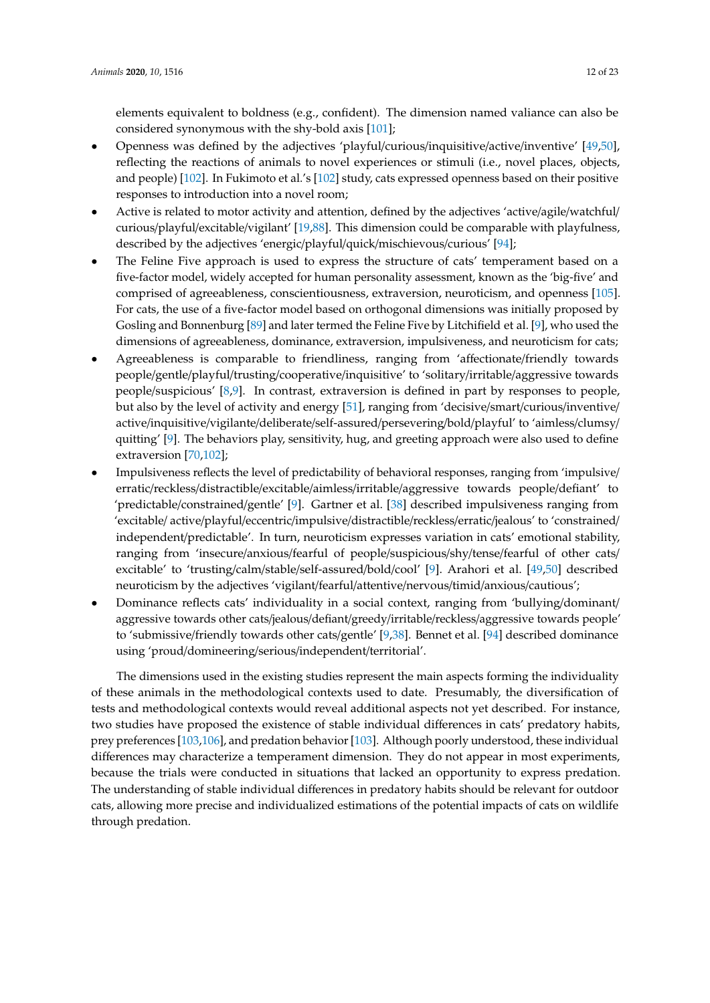elements equivalent to boldness (e.g., confident). The dimension named valiance can also be considered synonymous with the shy-bold axis [\[101\]](#page-21-5);

- Openness was defined by the adjectives 'playful/curious/inquisitive/active/inventive' [\[49,](#page-19-0)[50\]](#page-19-4), reflecting the reactions of animals to novel experiences or stimuli (i.e., novel places, objects, and people) [\[102\]](#page-21-6). In Fukimoto et al.'s [\[102\]](#page-21-6) study, cats expressed openness based on their positive responses to introduction into a novel room;
- Active is related to motor activity and attention, defined by the adjectives 'active/agile/watchful/ curious/playful/excitable/vigilant' [\[19](#page-17-14)[,88\]](#page-20-18). This dimension could be comparable with playfulness, described by the adjectives 'energic/playful/quick/mischievous/curious' [\[94\]](#page-20-22);
- The Feline Five approach is used to express the structure of cats' temperament based on a five-factor model, widely accepted for human personality assessment, known as the 'big-five' and comprised of agreeableness, conscientiousness, extraversion, neuroticism, and openness [\[105\]](#page-21-10). For cats, the use of a five-factor model based on orthogonal dimensions was initially proposed by Gosling and Bonnenburg [\[89\]](#page-20-19) and later termed the Feline Five by Litchifield et al. [\[9\]](#page-17-5), who used the dimensions of agreeableness, dominance, extraversion, impulsiveness, and neuroticism for cats;
- Agreeableness is comparable to friendliness, ranging from 'affectionate/friendly towards people/gentle/playful/trusting/cooperative/inquisitive' to 'solitary/irritable/aggressive towards people/suspicious' [\[8,](#page-17-22)[9\]](#page-17-5). In contrast, extraversion is defined in part by responses to people, but also by the level of activity and energy [\[51\]](#page-19-1), ranging from 'decisive/smart/curious/inventive/ active/inquisitive/vigilante/deliberate/self-assured/persevering/bold/playful' to 'aimless/clumsy/ quitting'  $[9]$ . The behaviors play, sensitivity, hug, and greeting approach were also used to define extraversion [\[70](#page-20-0)[,102\]](#page-21-6);
- Impulsiveness reflects the level of predictability of behavioral responses, ranging from 'impulsive/ erratic/reckless/distractible/excitable/aimless/irritable/aggressive towards people/defiant' to 'predictable/constrained/gentle' [\[9\]](#page-17-5). Gartner et al. [\[38\]](#page-18-12) described impulsiveness ranging from 'excitable/ active/playful/eccentric/impulsive/distractible/reckless/erratic/jealous' to 'constrained/ independent/predictable'. In turn, neuroticism expresses variation in cats' emotional stability, ranging from 'insecure/anxious/fearful of people/suspicious/shy/tense/fearful of other cats/ excitable' to 'trusting/calm/stable/self-assured/bold/cool' [\[9\]](#page-17-5). Arahori et al. [\[49,](#page-19-0)[50\]](#page-19-4) described neuroticism by the adjectives 'vigilant/fearful/attentive/nervous/timid/anxious/cautious';
- Dominance reflects cats' individuality in a social context, ranging from 'bullying/dominant/ aggressive towards other cats/jealous/defiant/greedy/irritable/reckless/aggressive towards people' to 'submissive/friendly towards other cats/gentle' [\[9,](#page-17-5)[38\]](#page-18-12). Bennet et al. [\[94\]](#page-20-22) described dominance using 'proud/domineering/serious/independent/territorial'.

The dimensions used in the existing studies represent the main aspects forming the individuality of these animals in the methodological contexts used to date. Presumably, the diversification of tests and methodological contexts would reveal additional aspects not yet described. For instance, two studies have proposed the existence of stable individual differences in cats' predatory habits, prey preferences [\[103](#page-21-7)[,106\]](#page-21-11), and predation behavior [\[103\]](#page-21-7). Although poorly understood, these individual differences may characterize a temperament dimension. They do not appear in most experiments, because the trials were conducted in situations that lacked an opportunity to express predation. The understanding of stable individual differences in predatory habits should be relevant for outdoor cats, allowing more precise and individualized estimations of the potential impacts of cats on wildlife through predation.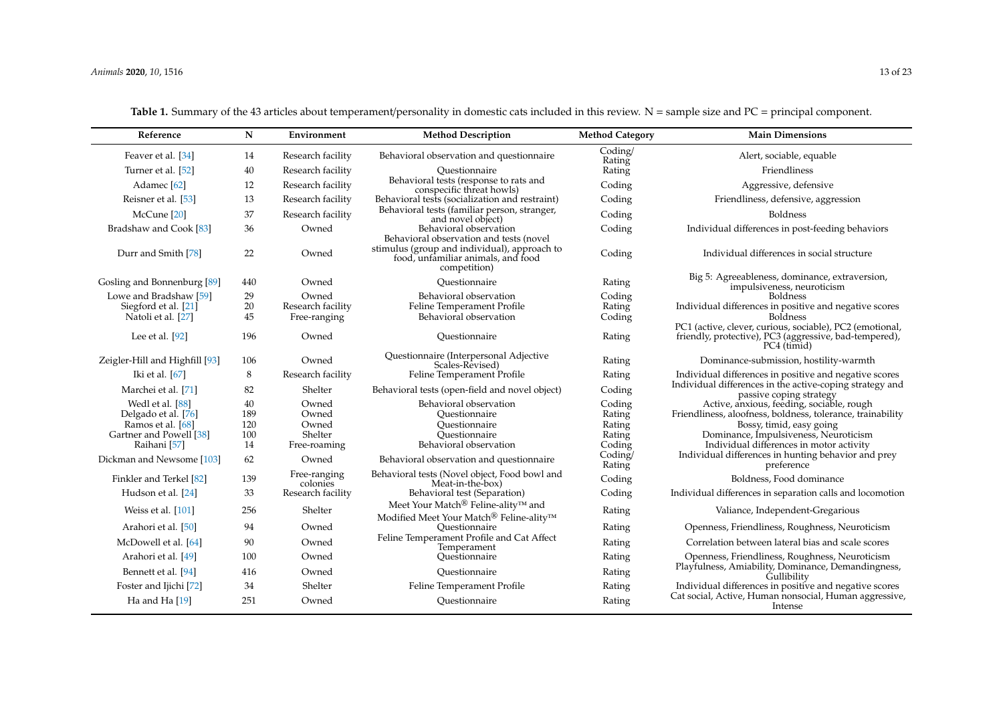| <b>Table 1.</b> Summary of the 43 articles about temperament/personality in domestic cats included in this review. N = sample size and PC = principal component. |  |
|------------------------------------------------------------------------------------------------------------------------------------------------------------------|--|
|                                                                                                                                                                  |  |

| Reference                      | ${\bf N}$ | Environment              | <b>Method Description</b>                                                                                                                     | <b>Method Category</b> | <b>Main Dimensions</b>                                                              |
|--------------------------------|-----------|--------------------------|-----------------------------------------------------------------------------------------------------------------------------------------------|------------------------|-------------------------------------------------------------------------------------|
| Feaver et al. [34]             | 14        | Research facility        | Behavioral observation and questionnaire                                                                                                      | Coding/<br>Rating      | Alert, sociable, equable                                                            |
| Turner et al. [52]             | 40        | Research facility        | Ouestionnaire                                                                                                                                 | Rating                 | Friendliness                                                                        |
| Adamec <sup>[62]</sup>         | 12        | Research facility        | Behavioral tests (response to rats and<br>conspecific threat howls)                                                                           | Coding                 | Aggressive, defensive                                                               |
| Reisner et al. [53]            | 13        | Research facility        | Behavioral tests (socialization and restraint)                                                                                                | Coding                 | Friendliness, defensive, aggression                                                 |
| McCune [20]                    | 37        | Research facility        | Behavioral tests (familiar person, stranger,<br>and novel object)                                                                             | Coding                 | Boldness                                                                            |
| Bradshaw and Cook [83]         | 36        | Owned                    | Behavioral observation                                                                                                                        | Coding                 | Individual differences in post-feeding behaviors                                    |
| Durr and Smith [78]            | 22        | Owned                    | Behavioral observation and tests (novel<br>stimulus (group and individual), approach to<br>food, unfamiliar animals, and food<br>competition) | Coding                 | Individual differences in social structure                                          |
| Gosling and Bonnenburg [89]    | 440       | Owned                    | Ouestionnaire                                                                                                                                 | Rating                 | Big 5: Agreeableness, dominance, extraversion,<br>impulsiveness, neuroticism        |
| Lowe and Bradshaw [59]         | 29        | Owned                    | Behavioral observation                                                                                                                        | Coding                 | <b>Boldness</b>                                                                     |
| Siegford et al. [21]           | 20        | Research facility        | Feline Temperament Profile                                                                                                                    | Rating                 | Individual differences in positive and negative scores                              |
| Natoli et al. [27]             | 45        | Free-ranging             | Behavioral observation                                                                                                                        | Coding                 | <b>Boldness</b><br>PC1 (active, clever, curious, sociable), PC2 (emotional,         |
| Lee et al. $[92]$              | 196       | Owned                    | Ouestionnaire                                                                                                                                 | Rating                 | friendly, protective), PC3 (aggressive, bad-tempered),<br>PC4 (timid)               |
| Zeigler-Hill and Highfill [93] | 106       | Owned                    | Questionnaire (Interpersonal Adjective<br>Scales-Revised)                                                                                     | Rating                 | Dominance-submission, hostility-warmth                                              |
| Iki et al. [67]                | 8         | Research facility        | Feline Temperament Profile                                                                                                                    | Rating                 | Individual differences in positive and negative scores                              |
| Marchei et al. [71]            | 82        | Shelter                  | Behavioral tests (open-field and novel object)                                                                                                | Coding                 | Individual differences in the active-coping strategy and<br>passive coping strategy |
| Wedl et al. [88]               | 40        | Owned                    | Behavioral observation                                                                                                                        | Coding                 | Active, anxious, feeding, sociable, rough                                           |
| Delgado et al. [76]            | 189       | Owned                    | Ouestionnaire                                                                                                                                 | Rating                 | Friendliness, aloofness, boldness, tolerance, trainability                          |
| Ramos et al. [68]              | 120       | Owned                    | Questionnaire                                                                                                                                 | Rating                 | Bossy, timid, easy going                                                            |
| Gartner and Powell [38]        | 100       | Shelter                  | Ouestionnaire                                                                                                                                 | Rating                 | Dominance, Impulsiveness, Neuroticism                                               |
| Raihani <sup>[57]</sup>        | 14        | Free-roaming             | Behavioral observation                                                                                                                        | Coding                 | Individual differences in motor activity                                            |
| Dickman and Newsome [103]      | 62        | Owned                    | Behavioral observation and questionnaire                                                                                                      | Coding/<br>Rating      | Individual differences in hunting behavior and prey<br>preference                   |
| Finkler and Terkel [82]        | 139       | Free-ranging<br>colonies | Behavioral tests (Novel object, Food bowl and<br>Meat-in-the-box)                                                                             | Coding                 | Boldness, Food dominance                                                            |
| Hudson et al. [24]             | 33        | Research facility        | Behavioral test (Separation)                                                                                                                  | Coding                 | Individual differences in separation calls and locomotion                           |
| Weiss et al. [101]             | 256       | Shelter                  | Meet Your Match<br>® Feline-ality™ and<br>Modified Meet Your Match <sup>®</sup> Feline-ality™                                                 | Rating                 | Valiance, Independent-Gregarious                                                    |
| Arahori et al. [50]            | 94        | Owned                    | Ouestionnaire                                                                                                                                 | Rating                 | Openness, Friendliness, Roughness, Neuroticism                                      |
| McDowell et al. [64]           | 90        | Owned                    | Feline Temperament Profile and Cat Affect<br>Temperament                                                                                      | Rating                 | Correlation between lateral bias and scale scores                                   |
| Arahori et al. [49]            | 100       | Owned                    | Ouestionnaire                                                                                                                                 | Rating                 | Openness, Friendliness, Roughness, Neuroticism                                      |
| Bennett et al. [94]            | 416       | Owned                    | Ouestionnaire                                                                                                                                 | Rating                 | Playfulness, Amiability, Dominance, Demandingness,<br>Gullibility                   |
| Foster and Ijichi [72]         | 34        | Shelter                  | Feline Temperament Profile                                                                                                                    | Rating                 | Individual differences in positive and negative scores                              |
| Ha and Ha [19]                 | 251       | Owned                    | Ouestionnaire                                                                                                                                 | Rating                 | Cat social, Active, Human nonsocial, Human aggressive,<br>Intense                   |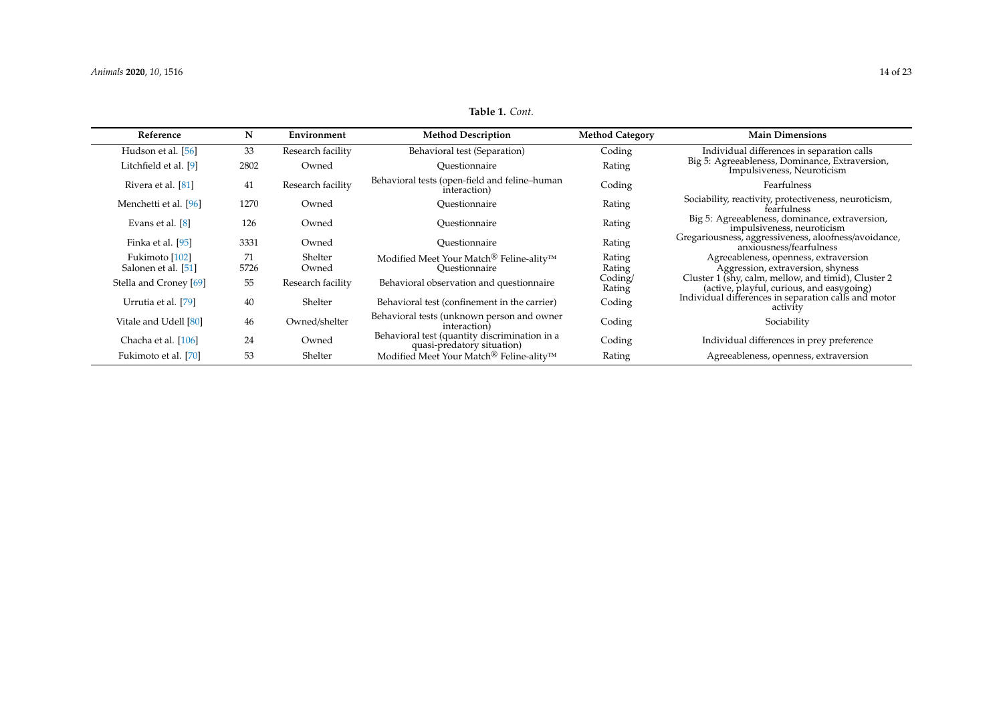# **Table 1.** *Cont.*

<span id="page-13-0"></span>

| Reference                             | N          | Environment       | <b>Method Description</b>                                                        | <b>Method Category</b> | <b>Main Dimensions</b>                                                                           |
|---------------------------------------|------------|-------------------|----------------------------------------------------------------------------------|------------------------|--------------------------------------------------------------------------------------------------|
| Hudson et al. [56]                    | 33         | Research facility | Behavioral test (Separation)                                                     | Coding                 | Individual differences in separation calls                                                       |
| Litchfield et al. [9]                 | 2802       | Owned             | Ouestionnaire                                                                    | Rating                 | Big 5: Agreeableness, Dominance, Extraversion,<br>Impulsiveness, Neuroticism                     |
| Rivera et al. [81]                    | 41         | Research facility | Behavioral tests (open-field and feline-human<br>interaction)                    | Coding                 | Fearfulness                                                                                      |
| Menchetti et al. [96]                 | 1270       | Owned             | Ouestionnaire                                                                    | Rating                 | Sociability, reactivity, protectiveness, neuroticism,<br>fearfulness                             |
| Evans et al. [8]                      | 126        | Owned             | Ouestionnaire                                                                    | Rating                 | Big 5: Agreeableness, dominance, extraversion,<br>impulsiveness, neuroticism                     |
| Finka et al. [95]                     | 3331       | Owned             | Ouestionnaire                                                                    | Rating                 | Gregariousness, aggressiveness, aloofness/avoidance,<br>anxiousness/fearfulness                  |
| Fukimoto [102]<br>Salonen et al. [51] | 71<br>5726 | Shelter<br>Owned  | Modified Meet Your Match <sup>®</sup> Feline-ality <sup>™</sup><br>Ouestionnaire | Rating<br>Rating       | Agreeableness, openness, extraversion<br>Aggression, extraversion, shyness                       |
| Stella and Croney [69]                | 55         | Research facility | Behavioral observation and questionnaire                                         | Coding/<br>Rating      | Cluster 1 (shy, calm, mellow, and timid), Cluster 2<br>(active, playful, curious, and easygoing) |
| Urrutia et al. [79]                   | 40         | Shelter           | Behavioral test (confinement in the carrier)                                     | Coding                 | Individual differences in separation calls and motor<br>activity                                 |
| Vitale and Udell [80]                 | 46         | Owned/shelter     | Behavioral tests (unknown person and owner<br>interaction)                       | Coding                 | Sociability                                                                                      |
| Chacha et al. [106]                   | 24         | Owned             | Behavioral test (quantity discrimination in a<br>quasi-predatory situation)      | Coding                 | Individual differences in prey preference                                                        |
| Fukimoto et al. [70]                  | 53         | Shelter           | Modified Meet Your Match <sup>®</sup> Feline-ality™                              | Rating                 | Agreeableness, openness, extraversion                                                            |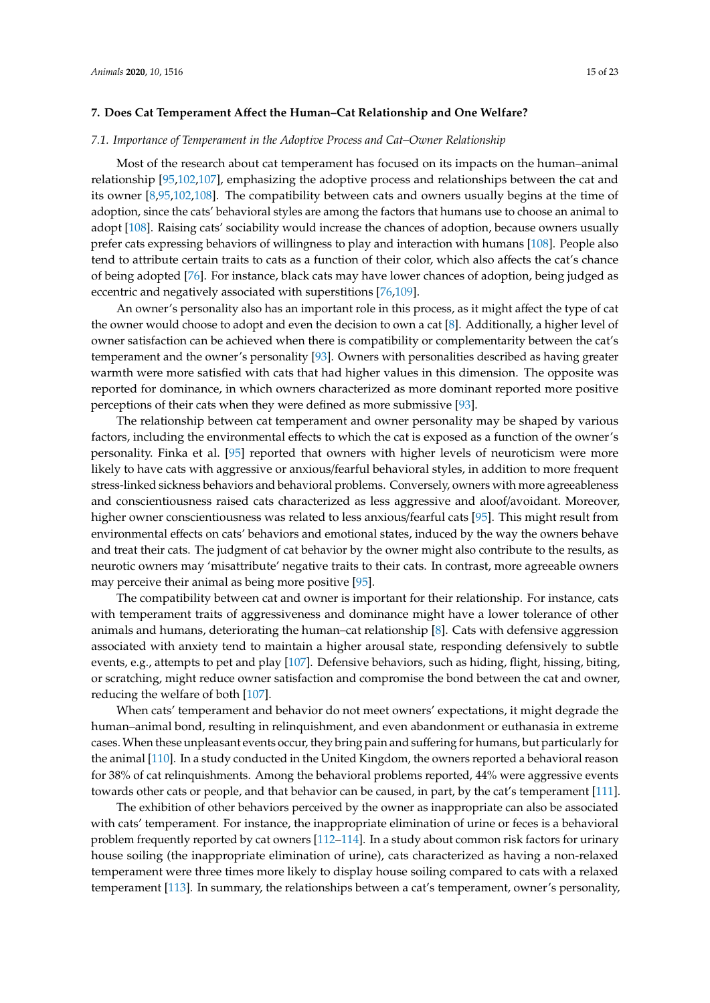#### **7. Does Cat Temperament A**ff**ect the Human–Cat Relationship and One Welfare?**

#### *7.1. Importance of Temperament in the Adoptive Process and Cat–Owner Relationship*

Most of the research about cat temperament has focused on its impacts on the human–animal relationship [\[95,](#page-21-8)[102,](#page-21-6)[107\]](#page-21-18), emphasizing the adoptive process and relationships between the cat and its owner [\[8](#page-17-22)[,95](#page-21-8)[,102](#page-21-6)[,108\]](#page-21-19). The compatibility between cats and owners usually begins at the time of adoption, since the cats' behavioral styles are among the factors that humans use to choose an animal to adopt [\[108\]](#page-21-19). Raising cats' sociability would increase the chances of adoption, because owners usually prefer cats expressing behaviors of willingness to play and interaction with humans [\[108\]](#page-21-19). People also tend to attribute certain traits to cats as a function of their color, which also affects the cat's chance of being adopted [\[76\]](#page-20-6). For instance, black cats may have lower chances of adoption, being judged as eccentric and negatively associated with superstitions [\[76](#page-20-6)[,109\]](#page-21-20).

An owner's personality also has an important role in this process, as it might affect the type of cat the owner would choose to adopt and even the decision to own a cat [\[8\]](#page-17-22). Additionally, a higher level of owner satisfaction can be achieved when there is compatibility or complementarity between the cat's temperament and the owner's personality [\[93\]](#page-20-23). Owners with personalities described as having greater warmth were more satisfied with cats that had higher values in this dimension. The opposite was reported for dominance, in which owners characterized as more dominant reported more positive perceptions of their cats when they were defined as more submissive [\[93\]](#page-20-23).

The relationship between cat temperament and owner personality may be shaped by various factors, including the environmental effects to which the cat is exposed as a function of the owner's personality. Finka et al. [\[95\]](#page-21-8) reported that owners with higher levels of neuroticism were more likely to have cats with aggressive or anxious/fearful behavioral styles, in addition to more frequent stress-linked sickness behaviors and behavioral problems. Conversely, owners with more agreeableness and conscientiousness raised cats characterized as less aggressive and aloof/avoidant. Moreover, higher owner conscientiousness was related to less anxious/fearful cats [\[95\]](#page-21-8). This might result from environmental effects on cats' behaviors and emotional states, induced by the way the owners behave and treat their cats. The judgment of cat behavior by the owner might also contribute to the results, as neurotic owners may 'misattribute' negative traits to their cats. In contrast, more agreeable owners may perceive their animal as being more positive [\[95\]](#page-21-8).

The compatibility between cat and owner is important for their relationship. For instance, cats with temperament traits of aggressiveness and dominance might have a lower tolerance of other animals and humans, deteriorating the human–cat relationship [\[8\]](#page-17-22). Cats with defensive aggression associated with anxiety tend to maintain a higher arousal state, responding defensively to subtle events, e.g., attempts to pet and play [\[107\]](#page-21-18). Defensive behaviors, such as hiding, flight, hissing, biting, or scratching, might reduce owner satisfaction and compromise the bond between the cat and owner, reducing the welfare of both [\[107\]](#page-21-18).

When cats' temperament and behavior do not meet owners' expectations, it might degrade the human–animal bond, resulting in relinquishment, and even abandonment or euthanasia in extreme cases. When these unpleasant events occur, they bring pain and suffering for humans, but particularly for the animal [\[110\]](#page-21-21). In a study conducted in the United Kingdom, the owners reported a behavioral reason for 38% of cat relinquishments. Among the behavioral problems reported, 44% were aggressive events towards other cats or people, and that behavior can be caused, in part, by the cat's temperament [\[111\]](#page-21-22).

The exhibition of other behaviors perceived by the owner as inappropriate can also be associated with cats' temperament. For instance, the inappropriate elimination of urine or feces is a behavioral problem frequently reported by cat owners [\[112](#page-21-23)[–114\]](#page-21-24). In a study about common risk factors for urinary house soiling (the inappropriate elimination of urine), cats characterized as having a non-relaxed temperament were three times more likely to display house soiling compared to cats with a relaxed temperament [\[113\]](#page-21-25). In summary, the relationships between a cat's temperament, owner's personality,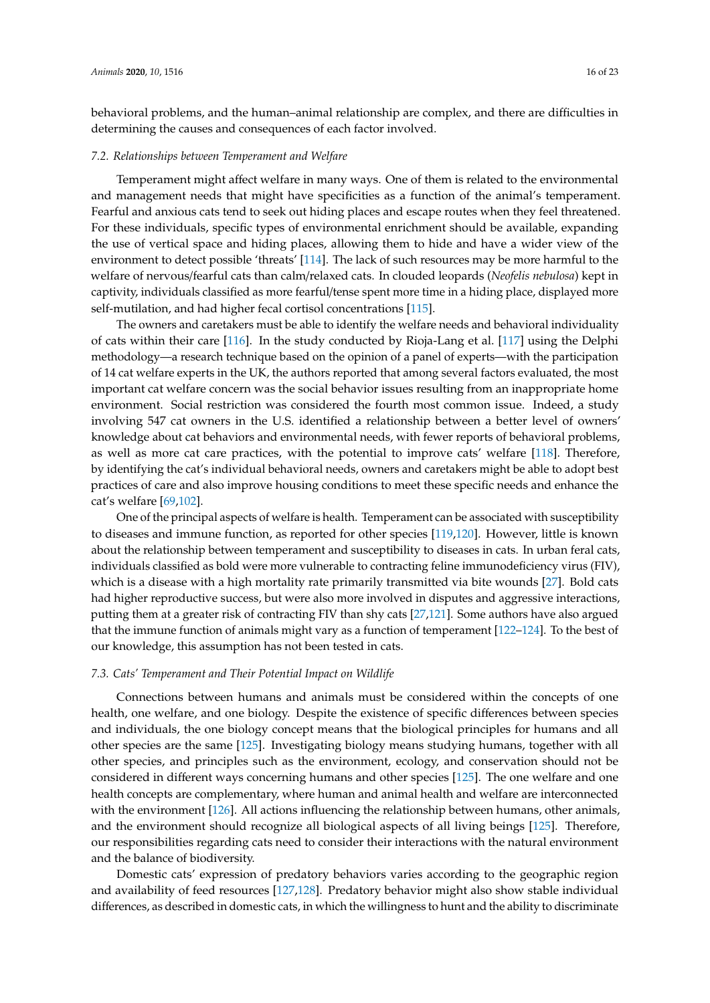behavioral problems, and the human–animal relationship are complex, and there are difficulties in determining the causes and consequences of each factor involved.

#### *7.2. Relationships between Temperament and Welfare*

Temperament might affect welfare in many ways. One of them is related to the environmental and management needs that might have specificities as a function of the animal's temperament. Fearful and anxious cats tend to seek out hiding places and escape routes when they feel threatened. For these individuals, specific types of environmental enrichment should be available, expanding the use of vertical space and hiding places, allowing them to hide and have a wider view of the environment to detect possible 'threats' [\[114\]](#page-21-24). The lack of such resources may be more harmful to the welfare of nervous/fearful cats than calm/relaxed cats. In clouded leopards (*Neofelis nebulosa*) kept in captivity, individuals classified as more fearful/tense spent more time in a hiding place, displayed more self-mutilation, and had higher fecal cortisol concentrations [\[115\]](#page-21-26).

The owners and caretakers must be able to identify the welfare needs and behavioral individuality of cats within their care [\[116\]](#page-21-27). In the study conducted by Rioja-Lang et al. [\[117\]](#page-21-28) using the Delphi methodology—a research technique based on the opinion of a panel of experts—with the participation of 14 cat welfare experts in the UK, the authors reported that among several factors evaluated, the most important cat welfare concern was the social behavior issues resulting from an inappropriate home environment. Social restriction was considered the fourth most common issue. Indeed, a study involving 547 cat owners in the U.S. identified a relationship between a better level of owners' knowledge about cat behaviors and environmental needs, with fewer reports of behavioral problems, as well as more cat care practices, with the potential to improve cats' welfare [\[118\]](#page-22-0). Therefore, by identifying the cat's individual behavioral needs, owners and caretakers might be able to adopt best practices of care and also improve housing conditions to meet these specific needs and enhance the cat's welfare [\[69,](#page-19-20)[102\]](#page-21-6).

One of the principal aspects of welfare is health. Temperament can be associated with susceptibility to diseases and immune function, as reported for other species [\[119](#page-22-1)[,120\]](#page-22-2). However, little is known about the relationship between temperament and susceptibility to diseases in cats. In urban feral cats, individuals classified as bold were more vulnerable to contracting feline immunodeficiency virus (FIV), which is a disease with a high mortality rate primarily transmitted via bite wounds [\[27\]](#page-18-1). Bold cats had higher reproductive success, but were also more involved in disputes and aggressive interactions, putting them at a greater risk of contracting FIV than shy cats [\[27,](#page-18-1)[121\]](#page-22-3). Some authors have also argued that the immune function of animals might vary as a function of temperament [\[122–](#page-22-4)[124\]](#page-22-5). To the best of our knowledge, this assumption has not been tested in cats.

#### *7.3. Cats' Temperament and Their Potential Impact on Wildlife*

Connections between humans and animals must be considered within the concepts of one health, one welfare, and one biology. Despite the existence of specific differences between species and individuals, the one biology concept means that the biological principles for humans and all other species are the same [\[125\]](#page-22-6). Investigating biology means studying humans, together with all other species, and principles such as the environment, ecology, and conservation should not be considered in different ways concerning humans and other species [\[125\]](#page-22-6). The one welfare and one health concepts are complementary, where human and animal health and welfare are interconnected with the environment [\[126\]](#page-22-7). All actions influencing the relationship between humans, other animals, and the environment should recognize all biological aspects of all living beings [\[125\]](#page-22-6). Therefore, our responsibilities regarding cats need to consider their interactions with the natural environment and the balance of biodiversity.

Domestic cats' expression of predatory behaviors varies according to the geographic region and availability of feed resources [\[127,](#page-22-8)[128\]](#page-22-9). Predatory behavior might also show stable individual differences, as described in domestic cats, in which the willingness to hunt and the ability to discriminate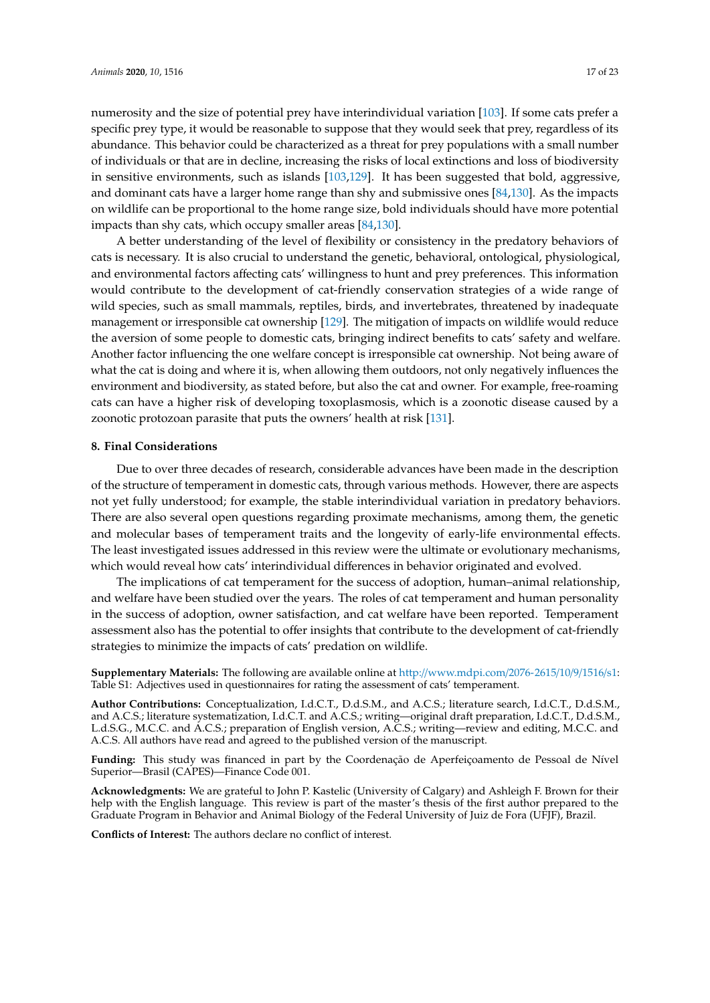numerosity and the size of potential prey have interindividual variation [\[103\]](#page-21-7). If some cats prefer a specific prey type, it would be reasonable to suppose that they would seek that prey, regardless of its abundance. This behavior could be characterized as a threat for prey populations with a small number of individuals or that are in decline, increasing the risks of local extinctions and loss of biodiversity in sensitive environments, such as islands [\[103](#page-21-7)[,129\]](#page-22-10). It has been suggested that bold, aggressive, and dominant cats have a larger home range than shy and submissive ones [\[84](#page-20-14)[,130\]](#page-22-11). As the impacts on wildlife can be proportional to the home range size, bold individuals should have more potential impacts than shy cats, which occupy smaller areas [\[84](#page-20-14)[,130\]](#page-22-11).

A better understanding of the level of flexibility or consistency in the predatory behaviors of cats is necessary. It is also crucial to understand the genetic, behavioral, ontological, physiological, and environmental factors affecting cats' willingness to hunt and prey preferences. This information would contribute to the development of cat-friendly conservation strategies of a wide range of wild species, such as small mammals, reptiles, birds, and invertebrates, threatened by inadequate management or irresponsible cat ownership [\[129\]](#page-22-10). The mitigation of impacts on wildlife would reduce the aversion of some people to domestic cats, bringing indirect benefits to cats' safety and welfare. Another factor influencing the one welfare concept is irresponsible cat ownership. Not being aware of what the cat is doing and where it is, when allowing them outdoors, not only negatively influences the environment and biodiversity, as stated before, but also the cat and owner. For example, free-roaming cats can have a higher risk of developing toxoplasmosis, which is a zoonotic disease caused by a zoonotic protozoan parasite that puts the owners' health at risk [\[131\]](#page-22-12).

#### **8. Final Considerations**

Due to over three decades of research, considerable advances have been made in the description of the structure of temperament in domestic cats, through various methods. However, there are aspects not yet fully understood; for example, the stable interindividual variation in predatory behaviors. There are also several open questions regarding proximate mechanisms, among them, the genetic and molecular bases of temperament traits and the longevity of early-life environmental effects. The least investigated issues addressed in this review were the ultimate or evolutionary mechanisms, which would reveal how cats' interindividual differences in behavior originated and evolved.

The implications of cat temperament for the success of adoption, human–animal relationship, and welfare have been studied over the years. The roles of cat temperament and human personality in the success of adoption, owner satisfaction, and cat welfare have been reported. Temperament assessment also has the potential to offer insights that contribute to the development of cat-friendly strategies to minimize the impacts of cats' predation on wildlife.

**Supplementary Materials:** The following are available online at http://[www.mdpi.com](http://www.mdpi.com/2076-2615/10/9/1516/s1)/2076-2615/10/9/1516/s1: Table S1: Adjectives used in questionnaires for rating the assessment of cats' temperament.

**Author Contributions:** Conceptualization, I.d.C.T., D.d.S.M., and A.C.S.; literature search, I.d.C.T., D.d.S.M., and A.C.S.; literature systematization, I.d.C.T. and A.C.S.; writing—original draft preparation, I.d.C.T., D.d.S.M., L.d.S.G., M.C.C. and A.C.S.; preparation of English version, A.C.S.; writing—review and editing, M.C.C. and A.C.S. All authors have read and agreed to the published version of the manuscript.

**Funding:** This study was financed in part by the Coordenação de Aperfeiçoamento de Pessoal de Nível Superior—Brasil (CAPES)—Finance Code 001.

**Acknowledgments:** We are grateful to John P. Kastelic (University of Calgary) and Ashleigh F. Brown for their help with the English language. This review is part of the master's thesis of the first author prepared to the Graduate Program in Behavior and Animal Biology of the Federal University of Juiz de Fora (UFJF), Brazil.

**Conflicts of Interest:** The authors declare no conflict of interest.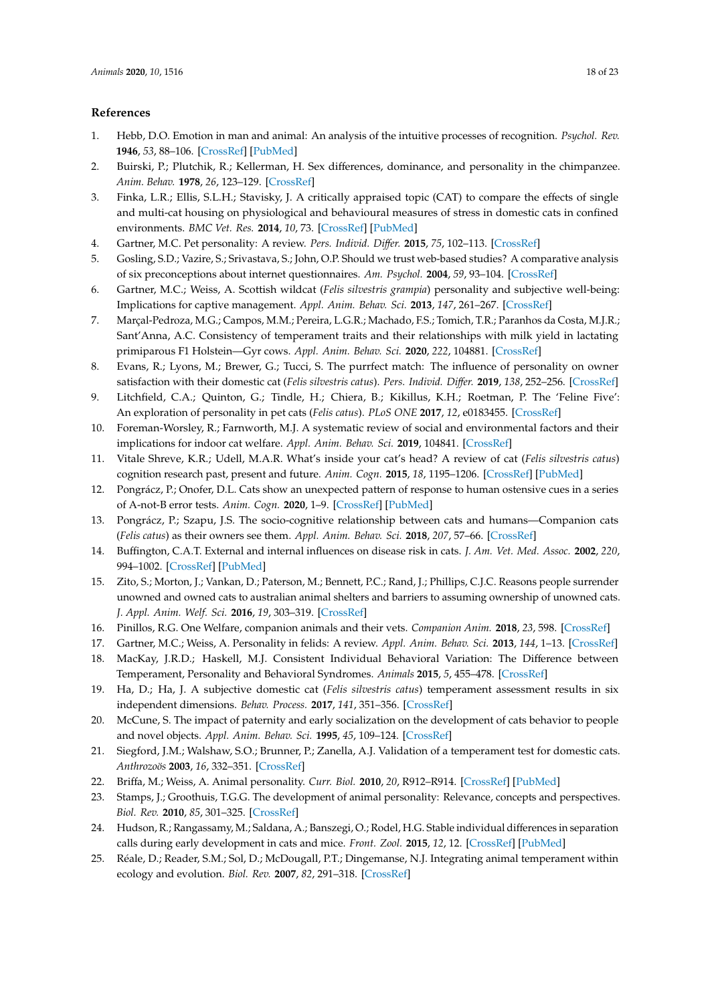# <span id="page-17-27"></span><span id="page-17-26"></span>**References**

- <span id="page-17-0"></span>1. Hebb, D.O. Emotion in man and animal: An analysis of the intuitive processes of recognition. *Psychol. Rev.* **1946**, *53*, 88–106. [\[CrossRef\]](http://dx.doi.org/10.1037/h0063033) [\[PubMed\]](http://www.ncbi.nlm.nih.gov/pubmed/21023321)
- <span id="page-17-1"></span>2. Buirski, P.; Plutchik, R.; Kellerman, H. Sex differences, dominance, and personality in the chimpanzee. *Anim. Behav.* **1978**, *26*, 123–129. [\[CrossRef\]](http://dx.doi.org/10.1016/0003-3472(78)90011-8)
- <span id="page-17-2"></span>3. Finka, L.R.; Ellis, S.L.H.; Stavisky, J. A critically appraised topic (CAT) to compare the effects of single and multi-cat housing on physiological and behavioural measures of stress in domestic cats in confined environments. *BMC Vet. Res.* **2014**, *10*, 73. [\[CrossRef\]](http://dx.doi.org/10.1186/1746-6148-10-73) [\[PubMed\]](http://www.ncbi.nlm.nih.gov/pubmed/24655603)
- <span id="page-17-4"></span>4. Gartner, M.C. Pet personality: A review. *Pers. Individ. Di*ff*er.* **2015**, *75*, 102–113. [\[CrossRef\]](http://dx.doi.org/10.1016/j.paid.2014.10.042)
- 5. Gosling, S.D.; Vazire, S.; Srivastava, S.; John, O.P. Should we trust web-based studies? A comparative analysis of six preconceptions about internet questionnaires. *Am. Psychol.* **2004**, *59*, 93–104. [\[CrossRef\]](http://dx.doi.org/10.1037/0003-066X.59.2.93)
- <span id="page-17-3"></span>6. Gartner, M.C.; Weiss, A. Scottish wildcat (*Felis silvestris grampia*) personality and subjective well-being: Implications for captive management. *Appl. Anim. Behav. Sci.* **2013**, *147*, 261–267. [\[CrossRef\]](http://dx.doi.org/10.1016/j.applanim.2012.11.002)
- <span id="page-17-20"></span>7. Marçal-Pedroza, M.G.; Campos, M.M.; Pereira, L.G.R.; Machado, F.S.; Tomich, T.R.; Paranhos da Costa, M.J.R.; Sant'Anna, A.C. Consistency of temperament traits and their relationships with milk yield in lactating primiparous F1 Holstein—Gyr cows. *Appl. Anim. Behav. Sci.* **2020**, *222*, 104881. [\[CrossRef\]](http://dx.doi.org/10.1016/j.applanim.2019.104881)
- <span id="page-17-22"></span>8. Evans, R.; Lyons, M.; Brewer, G.; Tucci, S. The purrfect match: The influence of personality on owner satisfaction with their domestic cat (*Felis silvestris catus*). *Pers. Individ. Di*ff*er.* **2019**, *138*, 252–256. [\[CrossRef\]](http://dx.doi.org/10.1016/j.paid.2018.10.011)
- <span id="page-17-25"></span><span id="page-17-5"></span>9. Litchfield, C.A.; Quinton, G.; Tindle, H.; Chiera, B.; Kikillus, K.H.; Roetman, P. The 'Feline Five': An exploration of personality in pet cats (*Felis catus*). *PLoS ONE* **2017**, *12*, e0183455. [\[CrossRef\]](http://dx.doi.org/10.1371/journal.pone.0183455)
- <span id="page-17-6"></span>10. Foreman-Worsley, R.; Farnworth, M.J. A systematic review of social and environmental factors and their implications for indoor cat welfare. *Appl. Anim. Behav. Sci.* **2019**, 104841. [\[CrossRef\]](http://dx.doi.org/10.1016/j.applanim.2019.104841)
- <span id="page-17-23"></span><span id="page-17-7"></span>11. Vitale Shreve, K.R.; Udell, M.A.R. What's inside your cat's head? A review of cat (*Felis silvestris catus*) cognition research past, present and future. *Anim. Cogn.* **2015**, *18*, 1195–1206. [\[CrossRef\]](http://dx.doi.org/10.1007/s10071-015-0897-6) [\[PubMed\]](http://www.ncbi.nlm.nih.gov/pubmed/26154131)
- 12. Pongrácz, P.; Onofer, D.L. Cats show an unexpected pattern of response to human ostensive cues in a series of A-not-B error tests. *Anim. Cogn.* **2020**, 1–9. [\[CrossRef\]](http://dx.doi.org/10.1007/s10071-020-01373-4) [\[PubMed\]](http://www.ncbi.nlm.nih.gov/pubmed/32227273)
- <span id="page-17-24"></span><span id="page-17-8"></span>13. Pongrácz, P.; Szapu, J.S. The socio-cognitive relationship between cats and humans—Companion cats (*Felis catus*) as their owners see them. *Appl. Anim. Behav. Sci.* **2018**, *207*, 57–66. [\[CrossRef\]](http://dx.doi.org/10.1016/j.applanim.2018.07.004)
- <span id="page-17-9"></span>14. Buffington, C.A.T. External and internal influences on disease risk in cats. *J. Am. Vet. Med. Assoc.* **2002**, *220*, 994–1002. [\[CrossRef\]](http://dx.doi.org/10.2460/javma.2002.220.994) [\[PubMed\]](http://www.ncbi.nlm.nih.gov/pubmed/12420776)
- <span id="page-17-10"></span>15. Zito, S.; Morton, J.; Vankan, D.; Paterson, M.; Bennett, P.C.; Rand, J.; Phillips, C.J.C. Reasons people surrender unowned and owned cats to australian animal shelters and barriers to assuming ownership of unowned cats. *J. Appl. Anim. Welf. Sci.* **2016**, *19*, 303–319. [\[CrossRef\]](http://dx.doi.org/10.1080/10888705.2016.1141682)
- <span id="page-17-11"></span>16. Pinillos, R.G. One Welfare, companion animals and their vets. *Companion Anim.* **2018**, *23*, 598. [\[CrossRef\]](http://dx.doi.org/10.12968/coan.2018.23.10.598)
- <span id="page-17-12"></span>17. Gartner, M.C.; Weiss, A. Personality in felids: A review. *Appl. Anim. Behav. Sci.* **2013**, *144*, 1–13. [\[CrossRef\]](http://dx.doi.org/10.1016/j.applanim.2012.11.010)
- <span id="page-17-13"></span>18. MacKay, J.R.D.; Haskell, M.J. Consistent Individual Behavioral Variation: The Difference between Temperament, Personality and Behavioral Syndromes. *Animals* **2015**, *5*, 455–478. [\[CrossRef\]](http://dx.doi.org/10.3390/ani5030366)
- <span id="page-17-14"></span>19. Ha, D.; Ha, J. A subjective domestic cat (*Felis silvestris catus*) temperament assessment results in six independent dimensions. *Behav. Process.* **2017**, *141*, 351–356. [\[CrossRef\]](http://dx.doi.org/10.1016/j.beproc.2017.03.012)
- <span id="page-17-15"></span>20. McCune, S. The impact of paternity and early socialization on the development of cats behavior to people and novel objects. *Appl. Anim. Behav. Sci.* **1995**, *45*, 109–124. [\[CrossRef\]](http://dx.doi.org/10.1016/0168-1591(95)00603-P)
- <span id="page-17-16"></span>21. Siegford, J.M.; Walshaw, S.O.; Brunner, P.; Zanella, A.J. Validation of a temperament test for domestic cats. *Anthrozoös* **2003**, *16*, 332–351. [\[CrossRef\]](http://dx.doi.org/10.2752/089279303786991982)
- <span id="page-17-17"></span>22. Briffa, M.; Weiss, A. Animal personality. *Curr. Biol.* **2010**, *20*, R912–R914. [\[CrossRef\]](http://dx.doi.org/10.1016/j.cub.2010.09.019) [\[PubMed\]](http://www.ncbi.nlm.nih.gov/pubmed/21056827)
- <span id="page-17-19"></span>23. Stamps, J.; Groothuis, T.G.G. The development of animal personality: Relevance, concepts and perspectives. *Biol. Rev.* **2010**, *85*, 301–325. [\[CrossRef\]](http://dx.doi.org/10.1111/j.1469-185X.2009.00103.x)
- <span id="page-17-21"></span>24. Hudson, R.; Rangassamy, M.; Saldana, A.; Banszegi, O.; Rodel, H.G. Stable individual differences in separation calls during early development in cats and mice. *Front. Zool.* **2015**, *12*, 12. [\[CrossRef\]](http://dx.doi.org/10.1186/1742-9994-12-S1-S12) [\[PubMed\]](http://www.ncbi.nlm.nih.gov/pubmed/26816512)
- <span id="page-17-18"></span>25. Réale, D.; Reader, S.M.; Sol, D.; McDougall, P.T.; Dingemanse, N.J. Integrating animal temperament within ecology and evolution. *Biol. Rev.* **2007**, *82*, 291–318. [\[CrossRef\]](http://dx.doi.org/10.1111/j.1469-185X.2007.00010.x)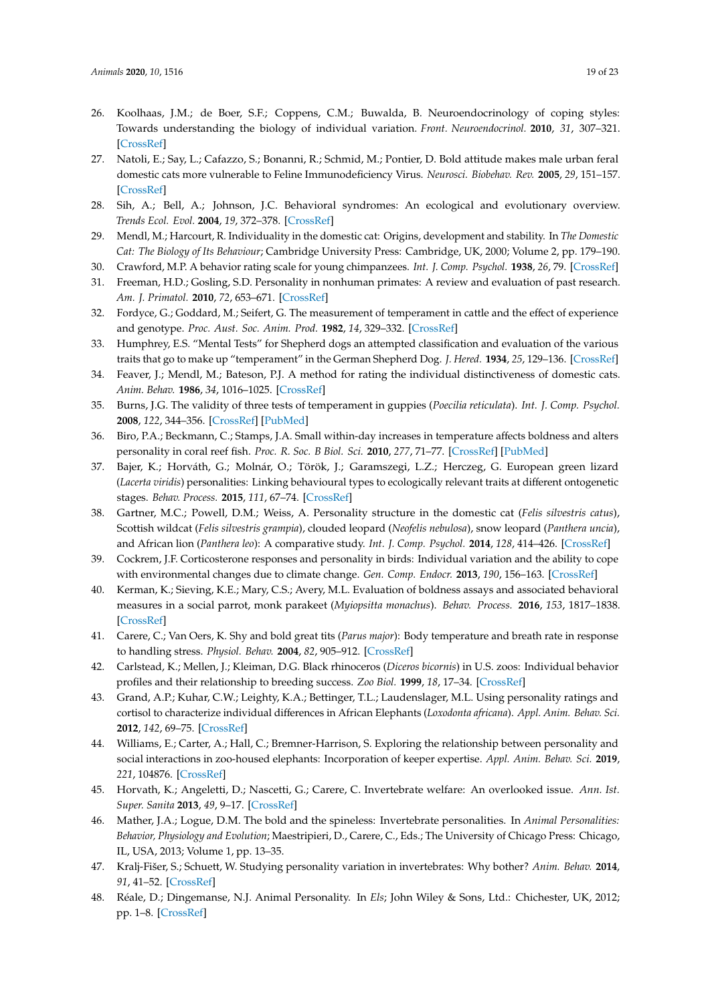- <span id="page-18-23"></span><span id="page-18-22"></span><span id="page-18-0"></span>26. Koolhaas, J.M.; de Boer, S.F.; Coppens, C.M.; Buwalda, B. Neuroendocrinology of coping styles: Towards understanding the biology of individual variation. *Front. Neuroendocrinol.* **2010**, *31*, 307–321. [\[CrossRef\]](http://dx.doi.org/10.1016/j.yfrne.2010.04.001)
- <span id="page-18-1"></span>27. Natoli, E.; Say, L.; Cafazzo, S.; Bonanni, R.; Schmid, M.; Pontier, D. Bold attitude makes male urban feral domestic cats more vulnerable to Feline Immunodeficiency Virus. *Neurosci. Biobehav. Rev.* **2005**, *29*, 151–157. [\[CrossRef\]](http://dx.doi.org/10.1016/j.neubiorev.2004.06.011)
- <span id="page-18-24"></span><span id="page-18-2"></span>28. Sih, A.; Bell, A.; Johnson, J.C. Behavioral syndromes: An ecological and evolutionary overview. *Trends Ecol. Evol.* **2004**, *19*, 372–378. [\[CrossRef\]](http://dx.doi.org/10.1016/j.tree.2004.04.009)
- <span id="page-18-3"></span>29. Mendl, M.; Harcourt, R. Individuality in the domestic cat: Origins, development and stability. In *The Domestic Cat: The Biology of Its Behaviour*; Cambridge University Press: Cambridge, UK, 2000; Volume 2, pp. 179–190.
- <span id="page-18-4"></span>30. Crawford, M.P. A behavior rating scale for young chimpanzees. *Int. J. Comp. Psychol.* **1938**, *26*, 79. [\[CrossRef\]](http://dx.doi.org/10.1037/h0054503)
- <span id="page-18-5"></span>31. Freeman, H.D.; Gosling, S.D. Personality in nonhuman primates: A review and evaluation of past research. *Am. J. Primatol.* **2010**, *72*, 653–671. [\[CrossRef\]](http://dx.doi.org/10.1002/ajp.20833)
- <span id="page-18-6"></span>32. Fordyce, G.; Goddard, M.; Seifert, G. The measurement of temperament in cattle and the effect of experience and genotype. *Proc. Aust. Soc. Anim. Prod.* **1982**, *14*, 329–332. [\[CrossRef\]](http://dx.doi.org/10.1590/S1516-35982012000600022)
- <span id="page-18-7"></span>33. Humphrey, E.S. "Mental Tests" for Shepherd dogs an attempted classification and evaluation of the various traits that go to make up "temperament" in the German Shepherd Dog. *J. Hered.* **1934**, *25*, 129–136. [\[CrossRef\]](http://dx.doi.org/10.1093/oxfordjournals.jhered.a103899)
- <span id="page-18-8"></span>34. Feaver, J.; Mendl, M.; Bateson, P.J. A method for rating the individual distinctiveness of domestic cats. *Anim. Behav.* **1986**, *34*, 1016–1025. [\[CrossRef\]](http://dx.doi.org/10.1016/S0003-3472(86)80160-9)
- <span id="page-18-9"></span>35. Burns, J.G. The validity of three tests of temperament in guppies (*Poecilia reticulata*). *Int. J. Comp. Psychol.* **2008**, *122*, 344–356. [\[CrossRef\]](http://dx.doi.org/10.1037/0735-7036.122.4.344) [\[PubMed\]](http://www.ncbi.nlm.nih.gov/pubmed/19014258)
- <span id="page-18-10"></span>36. Biro, P.A.; Beckmann, C.; Stamps, J.A. Small within-day increases in temperature affects boldness and alters personality in coral reef fish. *Proc. R. Soc. B Biol. Sci.* **2010**, *277*, 71–77. [\[CrossRef\]](http://dx.doi.org/10.1098/rspb.2009.1346) [\[PubMed\]](http://www.ncbi.nlm.nih.gov/pubmed/19793748)
- <span id="page-18-11"></span>37. Bajer, K.; Horváth, G.; Molnár, O.; Török, J.; Garamszegi, L.Z.; Herczeg, G. European green lizard (*Lacerta viridis*) personalities: Linking behavioural types to ecologically relevant traits at different ontogenetic stages. *Behav. Process.* **2015**, *111*, 67–74. [\[CrossRef\]](http://dx.doi.org/10.1016/j.beproc.2014.11.020)
- <span id="page-18-12"></span>38. Gartner, M.C.; Powell, D.M.; Weiss, A. Personality structure in the domestic cat (*Felis silvestris catus*), Scottish wildcat (*Felis silvestris grampia*), clouded leopard (*Neofelis nebulosa*), snow leopard (*Panthera uncia*), and African lion (*Panthera leo*): A comparative study. *Int. J. Comp. Psychol.* **2014**, *128*, 414–426. [\[CrossRef\]](http://dx.doi.org/10.1037/a0037104)
- <span id="page-18-13"></span>39. Cockrem, J.F. Corticosterone responses and personality in birds: Individual variation and the ability to cope with environmental changes due to climate change. *Gen. Comp. Endocr.* **2013**, *190*, 156–163. [\[CrossRef\]](http://dx.doi.org/10.1016/j.ygcen.2013.02.021)
- 40. Kerman, K.; Sieving, K.E.; Mary, C.S.; Avery, M.L. Evaluation of boldness assays and associated behavioral measures in a social parrot, monk parakeet (*Myiopsitta monachus*). *Behav. Process.* **2016**, *153*, 1817–1838. [\[CrossRef\]](http://dx.doi.org/10.1163/1568539X-00003356)
- <span id="page-18-14"></span>41. Carere, C.; Van Oers, K. Shy and bold great tits (*Parus major*): Body temperature and breath rate in response to handling stress. *Physiol. Behav.* **2004**, *82*, 905–912. [\[CrossRef\]](http://dx.doi.org/10.1016/S0031-9384(04)00312-9)
- <span id="page-18-15"></span>42. Carlstead, K.; Mellen, J.; Kleiman, D.G. Black rhinoceros (*Diceros bicornis*) in U.S. zoos: Individual behavior profiles and their relationship to breeding success. *Zoo Biol.* **1999**, *18*, 17–34. [\[CrossRef\]](http://dx.doi.org/10.1002/(SICI)1098-2361(1999)18:1<17::AID-ZOO4>3.0.CO;2-K)
- <span id="page-18-16"></span>43. Grand, A.P.; Kuhar, C.W.; Leighty, K.A.; Bettinger, T.L.; Laudenslager, M.L. Using personality ratings and cortisol to characterize individual differences in African Elephants (*Loxodonta africana*). *Appl. Anim. Behav. Sci.* **2012**, *142*, 69–75. [\[CrossRef\]](http://dx.doi.org/10.1016/j.applanim.2012.09.002)
- <span id="page-18-17"></span>44. Williams, E.; Carter, A.; Hall, C.; Bremner-Harrison, S. Exploring the relationship between personality and social interactions in zoo-housed elephants: Incorporation of keeper expertise. *Appl. Anim. Behav. Sci.* **2019**, *221*, 104876. [\[CrossRef\]](http://dx.doi.org/10.1016/j.applanim.2019.104876)
- <span id="page-18-18"></span>45. Horvath, K.; Angeletti, D.; Nascetti, G.; Carere, C. Invertebrate welfare: An overlooked issue. *Ann. Ist. Super. Sanita* **2013**, *49*, 9–17. [\[CrossRef\]](http://dx.doi.org/10.4415/ANN_13_01_04)
- <span id="page-18-19"></span>46. Mather, J.A.; Logue, D.M. The bold and the spineless: Invertebrate personalities. In *Animal Personalities: Behavior, Physiology and Evolution*; Maestripieri, D., Carere, C., Eds.; The University of Chicago Press: Chicago, IL, USA, 2013; Volume 1, pp. 13–35.
- <span id="page-18-20"></span>47. Kralj-Fišer, S.; Schuett, W. Studying personality variation in invertebrates: Why bother? *Anim. Behav.* **2014**, *91*, 41–52. [\[CrossRef\]](http://dx.doi.org/10.1016/j.anbehav.2014.02.016)
- <span id="page-18-21"></span>48. Réale, D.; Dingemanse, N.J. Animal Personality. In *Els*; John Wiley & Sons, Ltd.: Chichester, UK, 2012; pp. 1–8. [\[CrossRef\]](http://dx.doi.org/10.1002/9780470015902.a0023570)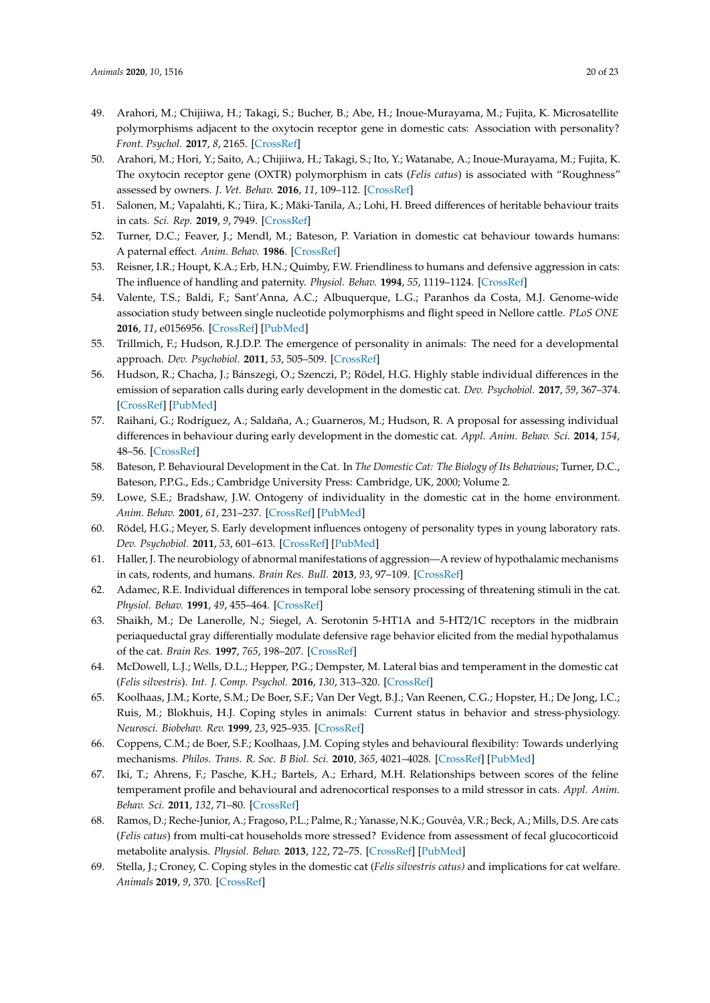- <span id="page-19-32"></span><span id="page-19-31"></span><span id="page-19-30"></span><span id="page-19-28"></span><span id="page-19-27"></span><span id="page-19-23"></span><span id="page-19-21"></span><span id="page-19-0"></span>49. Arahori, M.; Chijiiwa, H.; Takagi, S.; Bucher, B.; Abe, H.; Inoue-Murayama, M.; Fujita, K. Microsatellite polymorphisms adjacent to the oxytocin receptor gene in domestic cats: Association with personality? *Front. Psychol.* **2017**, *8*, 2165. [\[CrossRef\]](http://dx.doi.org/10.3389/fpsyg.2017.02165)
- <span id="page-19-4"></span>50. Arahori, M.; Hori, Y.; Saito, A.; Chijiiwa, H.; Takagi, S.; Ito, Y.; Watanabe, A.; Inoue-Murayama, M.; Fujita, K. The oxytocin receptor gene (OXTR) polymorphism in cats (*Felis catus*) is associated with "Roughness" assessed by owners. *J. Vet. Behav.* **2016**, *11*, 109–112. [\[CrossRef\]](http://dx.doi.org/10.1016/j.jveb.2015.07.039)
- <span id="page-19-24"></span><span id="page-19-1"></span>51. Salonen, M.; Vapalahti, K.; Tiira, K.; Mäki-Tanila, A.; Lohi, H. Breed differences of heritable behaviour traits in cats. *Sci. Rep.* **2019**, *9*, 7949. [\[CrossRef\]](http://dx.doi.org/10.1038/s41598-019-44324-x)
- <span id="page-19-2"></span>52. Turner, D.C.; Feaver, J.; Mendl, M.; Bateson, P. Variation in domestic cat behaviour towards humans: A paternal effect. *Anim. Behav.* **1986**. [\[CrossRef\]](http://dx.doi.org/10.1016/S0003-3472(86)80275-5)
- <span id="page-19-3"></span>53. Reisner, I.R.; Houpt, K.A.; Erb, H.N.; Quimby, F.W. Friendliness to humans and defensive aggression in cats: The influence of handling and paternity. *Physiol. Behav.* **1994**, *55*, 1119–1124. [\[CrossRef\]](http://dx.doi.org/10.1016/0031-9384(94)90396-4)
- <span id="page-19-22"></span><span id="page-19-5"></span>54. Valente, T.S.; Baldi, F.; Sant'Anna, A.C.; Albuquerque, L.G.; Paranhos da Costa, M.J. Genome-wide association study between single nucleotide polymorphisms and flight speed in Nellore cattle. *PLoS ONE* **2016**, *11*, e0156956. [\[CrossRef\]](http://dx.doi.org/10.1371/journal.pone.0156956) [\[PubMed\]](http://www.ncbi.nlm.nih.gov/pubmed/27300296)
- <span id="page-19-6"></span>55. Trillmich, F.; Hudson, R.J.D.P. The emergence of personality in animals: The need for a developmental approach. *Dev. Psychobiol.* **2011**, *53*, 505–509. [\[CrossRef\]](http://dx.doi.org/10.1002/dev.20573)
- <span id="page-19-29"></span><span id="page-19-7"></span>56. Hudson, R.; Chacha, J.; Bánszegi, O.; Szenczi, P.; Rödel, H.G. Highly stable individual differences in the emission of separation calls during early development in the domestic cat. *Dev. Psychobiol.* **2017**, *59*, 367–374. [\[CrossRef\]](http://dx.doi.org/10.1002/dev.21501) [\[PubMed\]](http://www.ncbi.nlm.nih.gov/pubmed/28323347)
- <span id="page-19-8"></span>57. Raihani, G.; Rodríguez, A.; Saldaña, A.; Guarneros, M.; Hudson, R. A proposal for assessing individual differences in behaviour during early development in the domestic cat. *Appl. Anim. Behav. Sci.* **2014**, *154*, 48–56. [\[CrossRef\]](http://dx.doi.org/10.1016/j.applanim.2014.01.013)
- <span id="page-19-25"></span><span id="page-19-9"></span>58. Bateson, P. Behavioural Development in the Cat. In *The Domestic Cat: The Biology of Its Behavious*; Turner, D.C., Bateson, P.P.G., Eds.; Cambridge University Press: Cambridge, UK, 2000; Volume 2.
- <span id="page-19-10"></span>59. Lowe, S.E.; Bradshaw, J.W. Ontogeny of individuality in the domestic cat in the home environment. *Anim. Behav.* **2001**, *61*, 231–237. [\[CrossRef\]](http://dx.doi.org/10.1006/anbe.2000.1545) [\[PubMed\]](http://www.ncbi.nlm.nih.gov/pubmed/11170712)
- <span id="page-19-26"></span><span id="page-19-11"></span>60. Rödel, H.G.; Meyer, S. Early development influences ontogeny of personality types in young laboratory rats. *Dev. Psychobiol.* **2011**, *53*, 601–613. [\[CrossRef\]](http://dx.doi.org/10.1002/dev.20522) [\[PubMed\]](http://www.ncbi.nlm.nih.gov/pubmed/21866542)
- <span id="page-19-33"></span><span id="page-19-12"></span>61. Haller, J. The neurobiology of abnormal manifestations of aggression—A review of hypothalamic mechanisms in cats, rodents, and humans. *Brain Res. Bull.* **2013**, *93*, 97–109. [\[CrossRef\]](http://dx.doi.org/10.1016/j.brainresbull.2012.10.003)
- <span id="page-19-13"></span>62. Adamec, R.E. Individual differences in temporal lobe sensory processing of threatening stimuli in the cat. *Physiol. Behav.* **1991**, *49*, 455–464. [\[CrossRef\]](http://dx.doi.org/10.1016/0031-9384(91)90264-O)
- <span id="page-19-14"></span>63. Shaikh, M.; De Lanerolle, N.; Siegel, A. Serotonin 5-HT1A and 5-HT2/1C receptors in the midbrain periaqueductal gray differentially modulate defensive rage behavior elicited from the medial hypothalamus of the cat. *Brain Res.* **1997**, *765*, 198–207. [\[CrossRef\]](http://dx.doi.org/10.1016/S0006-8993(97)00433-2)
- <span id="page-19-15"></span>64. McDowell, L.J.; Wells, D.L.; Hepper, P.G.; Dempster, M. Lateral bias and temperament in the domestic cat (*Felis silvestris*). *Int. J. Comp. Psychol.* **2016**, *130*, 313–320. [\[CrossRef\]](http://dx.doi.org/10.1037/com0000030)
- <span id="page-19-16"></span>65. Koolhaas, J.M.; Korte, S.M.; De Boer, S.F.; Van Der Vegt, B.J.; Van Reenen, C.G.; Hopster, H.; De Jong, I.C.; Ruis, M.; Blokhuis, H.J. Coping styles in animals: Current status in behavior and stress-physiology. *Neurosci. Biobehav. Rev.* **1999**, *23*, 925–935. [\[CrossRef\]](http://dx.doi.org/10.1016/S0149-7634(99)00026-3)
- <span id="page-19-17"></span>66. Coppens, C.M.; de Boer, S.F.; Koolhaas, J.M. Coping styles and behavioural flexibility: Towards underlying mechanisms. *Philos. Trans. R. Soc. B Biol. Sci.* **2010**, *365*, 4021–4028. [\[CrossRef\]](http://dx.doi.org/10.1098/rstb.2010.0217) [\[PubMed\]](http://www.ncbi.nlm.nih.gov/pubmed/21078654)
- <span id="page-19-18"></span>67. Iki, T.; Ahrens, F.; Pasche, K.H.; Bartels, A.; Erhard, M.H. Relationships between scores of the feline temperament profile and behavioural and adrenocortical responses to a mild stressor in cats. *Appl. Anim. Behav. Sci.* **2011**, *132*, 71–80. [\[CrossRef\]](http://dx.doi.org/10.1016/j.applanim.2011.03.008)
- <span id="page-19-19"></span>68. Ramos, D.; Reche-Junior, A.; Fragoso, P.L.; Palme, R.; Yanasse, N.K.; Gouvêa, V.R.; Beck, A.; Mills, D.S. Are cats (*Felis catus*) from multi-cat households more stressed? Evidence from assessment of fecal glucocorticoid metabolite analysis. *Physiol. Behav.* **2013**, *122*, 72–75. [\[CrossRef\]](http://dx.doi.org/10.1016/j.physbeh.2013.08.028) [\[PubMed\]](http://www.ncbi.nlm.nih.gov/pubmed/24021924)
- <span id="page-19-20"></span>69. Stella, J.; Croney, C. Coping styles in the domestic cat (*Felis silvestris catus)* and implications for cat welfare. *Animals* **2019**, *9*, 370. [\[CrossRef\]](http://dx.doi.org/10.3390/ani9060370)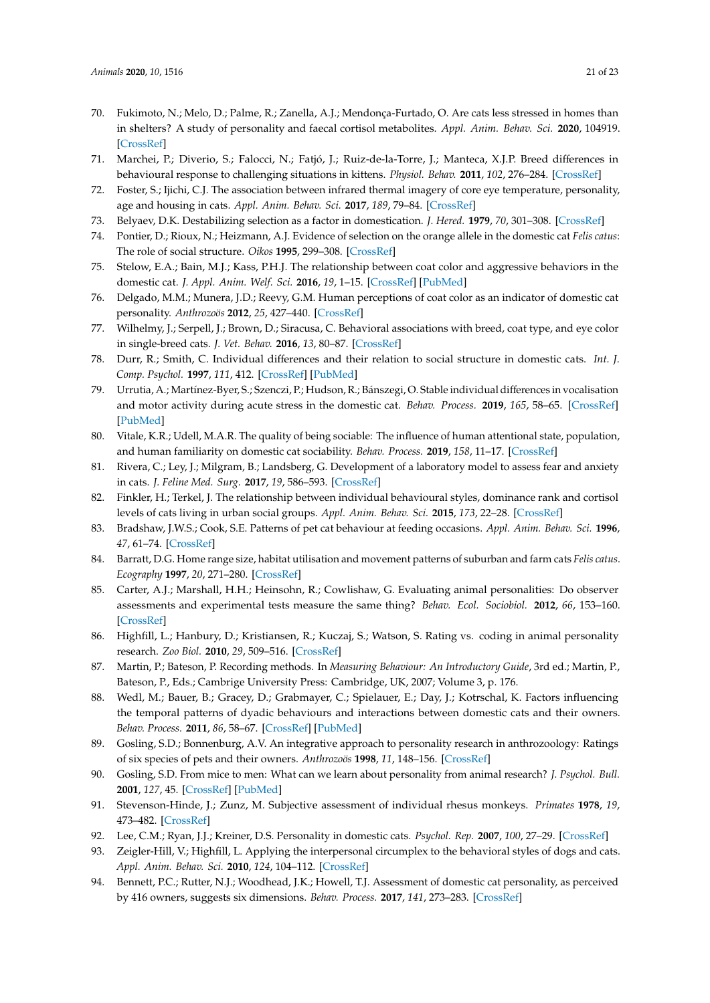- <span id="page-20-35"></span><span id="page-20-34"></span><span id="page-20-33"></span><span id="page-20-31"></span><span id="page-20-29"></span><span id="page-20-27"></span><span id="page-20-24"></span><span id="page-20-0"></span>70. Fukimoto, N.; Melo, D.; Palme, R.; Zanella, A.J.; Mendonça-Furtado, O. Are cats less stressed in homes than in shelters? A study of personality and faecal cortisol metabolites. *Appl. Anim. Behav. Sci.* **2020**, 104919. [\[CrossRef\]](http://dx.doi.org/10.1016/j.applanim.2019.104919)
- <span id="page-20-32"></span><span id="page-20-1"></span>71. Marchei, P.; Diverio, S.; Falocci, N.; Fatjó, J.; Ruiz-de-la-Torre, J.; Manteca, X.J.P. Breed differences in behavioural response to challenging situations in kittens. *Physiol. Behav.* **2011**, *102*, 276–284. [\[CrossRef\]](http://dx.doi.org/10.1016/j.physbeh.2010.11.016)
- <span id="page-20-30"></span><span id="page-20-2"></span>Foster, S.; Ijichi, C.J. The association between infrared thermal imagery of core eye temperature, personality, age and housing in cats. *Appl. Anim. Behav. Sci.* **2017**, *189*, 79–84. [\[CrossRef\]](http://dx.doi.org/10.1016/j.applanim.2017.01.004)
- <span id="page-20-4"></span><span id="page-20-3"></span>73. Belyaev, D.K. Destabilizing selection as a factor in domestication. *J. Hered.* **1979**, *70*, 301–308. [\[CrossRef\]](http://dx.doi.org/10.1093/oxfordjournals.jhered.a109263)
- 74. Pontier, D.; Rioux, N.; Heizmann, A.J. Evidence of selection on the orange allele in the domestic cat *Felis catus*: The role of social structure. *Oikos* **1995**, 299–308. [\[CrossRef\]](http://dx.doi.org/10.2307/3545954)
- <span id="page-20-5"></span>75. Stelow, E.A.; Bain, M.J.; Kass, P.H.J. The relationship between coat color and aggressive behaviors in the domestic cat. *J. Appl. Anim. Welf. Sci.* **2016**, *19*, 1–15. [\[CrossRef\]](http://dx.doi.org/10.1080/10888705.2015.1081820) [\[PubMed\]](http://www.ncbi.nlm.nih.gov/pubmed/26467020)
- <span id="page-20-6"></span>76. Delgado, M.M.; Munera, J.D.; Reevy, G.M. Human perceptions of coat color as an indicator of domestic cat personality. *Anthrozoös* **2012**, *25*, 427–440. [\[CrossRef\]](http://dx.doi.org/10.2752/175303712X13479798785779)
- <span id="page-20-7"></span>77. Wilhelmy, J.; Serpell, J.; Brown, D.; Siracusa, C. Behavioral associations with breed, coat type, and eye color in single-breed cats. *J. Vet. Behav.* **2016**, *13*, 80–87. [\[CrossRef\]](http://dx.doi.org/10.1016/j.jveb.2016.03.009)
- <span id="page-20-8"></span>78. Durr, R.; Smith, C. Individual differences and their relation to social structure in domestic cats. *Int. J. Comp. Psychol.* **1997**, *111*, 412. [\[CrossRef\]](http://dx.doi.org/10.1037/0735-7036.111.4.412) [\[PubMed\]](http://www.ncbi.nlm.nih.gov/pubmed/9419885)
- <span id="page-20-28"></span><span id="page-20-9"></span>79. Urrutia, A.; Martínez-Byer, S.; Szenczi, P.; Hudson, R.; Bánszegi, O. Stable individual differences in vocalisation and motor activity during acute stress in the domestic cat. *Behav. Process.* **2019**, *165*, 58–65. [\[CrossRef\]](http://dx.doi.org/10.1016/j.beproc.2019.05.022) [\[PubMed\]](http://www.ncbi.nlm.nih.gov/pubmed/31132445)
- <span id="page-20-25"></span><span id="page-20-10"></span>80. Vitale, K.R.; Udell, M.A.R. The quality of being sociable: The influence of human attentional state, population, and human familiarity on domestic cat sociability. *Behav. Process.* **2019**, *158*, 11–17. [\[CrossRef\]](http://dx.doi.org/10.1016/j.beproc.2018.10.026)
- <span id="page-20-11"></span>81. Rivera, C.; Ley, J.; Milgram, B.; Landsberg, G. Development of a laboratory model to assess fear and anxiety in cats. *J. Feline Med. Surg.* **2017**, *19*, 586–593. [\[CrossRef\]](http://dx.doi.org/10.1177/1098612X16643121)
- <span id="page-20-12"></span>82. Finkler, H.; Terkel, J. The relationship between individual behavioural styles, dominance rank and cortisol levels of cats living in urban social groups. *Appl. Anim. Behav. Sci.* **2015**, *173*, 22–28. [\[CrossRef\]](http://dx.doi.org/10.1016/j.applanim.2015.04.016)
- <span id="page-20-26"></span><span id="page-20-13"></span>83. Bradshaw, J.W.S.; Cook, S.E. Patterns of pet cat behaviour at feeding occasions. *Appl. Anim. Behav. Sci.* **1996**, *47*, 61–74. [\[CrossRef\]](http://dx.doi.org/10.1016/0168-1591(95)01011-4)
- <span id="page-20-14"></span>84. Barratt, D.G. Home range size, habitat utilisation and movement patterns of suburban and farm cats *Felis catus*. *Ecography* **1997**, *20*, 271–280. [\[CrossRef\]](http://dx.doi.org/10.1111/j.1600-0587.1997.tb00371.x)
- <span id="page-20-15"></span>85. Carter, A.J.; Marshall, H.H.; Heinsohn, R.; Cowlishaw, G. Evaluating animal personalities: Do observer assessments and experimental tests measure the same thing? *Behav. Ecol. Sociobiol.* **2012**, *66*, 153–160. [\[CrossRef\]](http://dx.doi.org/10.1007/s00265-011-1263-6)
- <span id="page-20-16"></span>86. Highfill, L.; Hanbury, D.; Kristiansen, R.; Kuczaj, S.; Watson, S. Rating vs. coding in animal personality research. *Zoo Biol.* **2010**, *29*, 509–516. [\[CrossRef\]](http://dx.doi.org/10.1002/zoo.20279)
- <span id="page-20-17"></span>87. Martin, P.; Bateson, P. Recording methods. In *Measuring Behaviour: An Introductory Guide*, 3rd ed.; Martin, P., Bateson, P., Eds.; Cambrige University Press: Cambridge, UK, 2007; Volume 3, p. 176.
- <span id="page-20-18"></span>88. Wedl, M.; Bauer, B.; Gracey, D.; Grabmayer, C.; Spielauer, E.; Day, J.; Kotrschal, K. Factors influencing the temporal patterns of dyadic behaviours and interactions between domestic cats and their owners. *Behav. Process.* **2011**, *86*, 58–67. [\[CrossRef\]](http://dx.doi.org/10.1016/j.beproc.2010.09.001) [\[PubMed\]](http://www.ncbi.nlm.nih.gov/pubmed/20837114)
- <span id="page-20-19"></span>89. Gosling, S.D.; Bonnenburg, A.V. An integrative approach to personality research in anthrozoology: Ratings of six species of pets and their owners. *Anthrozoös* **1998**, *11*, 148–156. [\[CrossRef\]](http://dx.doi.org/10.2752/089279398787000661)
- 90. Gosling, S.D. From mice to men: What can we learn about personality from animal research? *J. Psychol. Bull.* **2001**, *127*, 45. [\[CrossRef\]](http://dx.doi.org/10.1037/0033-2909.127.1.45) [\[PubMed\]](http://www.ncbi.nlm.nih.gov/pubmed/11271756)
- <span id="page-20-20"></span>91. Stevenson-Hinde, J.; Zunz, M. Subjective assessment of individual rhesus monkeys. *Primates* **1978**, *19*, 473–482. [\[CrossRef\]](http://dx.doi.org/10.1007/BF02373309)
- <span id="page-20-21"></span>92. Lee, C.M.; Ryan, J.J.; Kreiner, D.S. Personality in domestic cats. *Psychol. Rep.* **2007**, *100*, 27–29. [\[CrossRef\]](http://dx.doi.org/10.2466/pr0.100.1.27-29)
- <span id="page-20-23"></span>93. Zeigler-Hill, V.; Highfill, L. Applying the interpersonal circumplex to the behavioral styles of dogs and cats. *Appl. Anim. Behav. Sci.* **2010**, *124*, 104–112. [\[CrossRef\]](http://dx.doi.org/10.1016/j.applanim.2010.02.012)
- <span id="page-20-22"></span>94. Bennett, P.C.; Rutter, N.J.; Woodhead, J.K.; Howell, T.J. Assessment of domestic cat personality, as perceived by 416 owners, suggests six dimensions. *Behav. Process.* **2017**, *141*, 273–283. [\[CrossRef\]](http://dx.doi.org/10.1016/j.beproc.2017.02.020)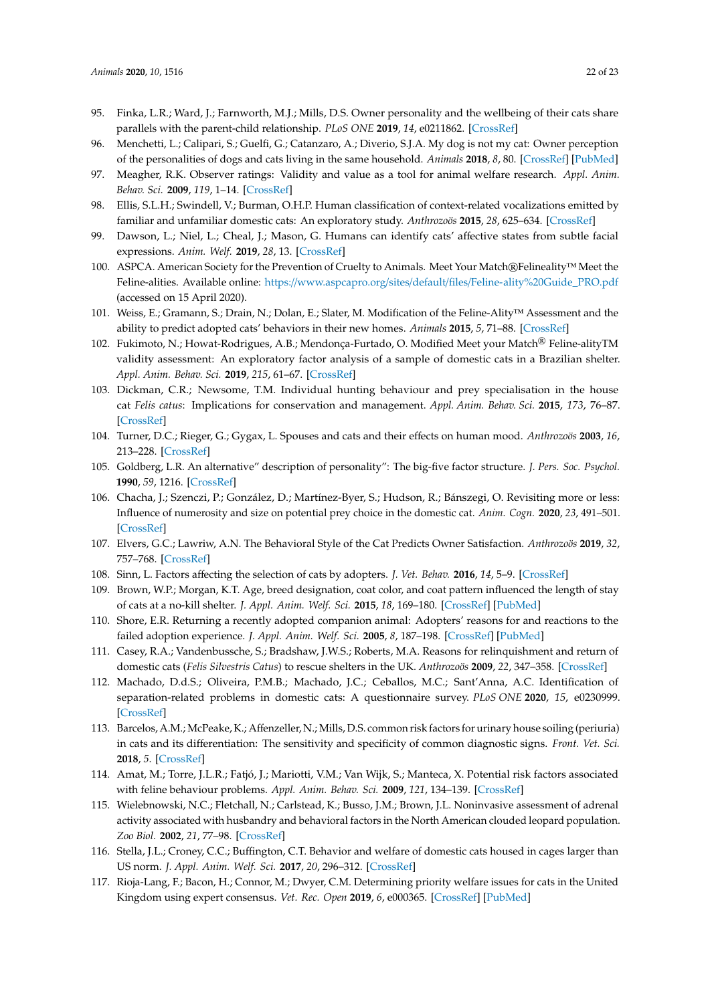- <span id="page-21-16"></span><span id="page-21-15"></span><span id="page-21-14"></span><span id="page-21-13"></span><span id="page-21-12"></span><span id="page-21-8"></span>95. Finka, L.R.; Ward, J.; Farnworth, M.J.; Mills, D.S. Owner personality and the wellbeing of their cats share parallels with the parent-child relationship. *PLoS ONE* **2019**, *14*, e0211862. [\[CrossRef\]](http://dx.doi.org/10.1371/journal.pone.0211862)
- <span id="page-21-0"></span>96. Menchetti, L.; Calipari, S.; Guelfi, G.; Catanzaro, A.; Diverio, S.J.A. My dog is not my cat: Owner perception of the personalities of dogs and cats living in the same household. *Animals* **2018**, *8*, 80. [\[CrossRef\]](http://dx.doi.org/10.3390/ani8060080) [\[PubMed\]](http://www.ncbi.nlm.nih.gov/pubmed/29882930)
- <span id="page-21-1"></span>97. Meagher, R.K. Observer ratings: Validity and value as a tool for animal welfare research. *Appl. Anim. Behav. Sci.* **2009**, *119*, 1–14. [\[CrossRef\]](http://dx.doi.org/10.1016/j.applanim.2009.02.026)
- <span id="page-21-17"></span><span id="page-21-2"></span>98. Ellis, S.L.H.; Swindell, V.; Burman, O.H.P. Human classification of context-related vocalizations emitted by familiar and unfamiliar domestic cats: An exploratory study. *Anthrozoös* **2015**, *28*, 625–634. [\[CrossRef\]](http://dx.doi.org/10.1080/08927936.2015.1070005)
- <span id="page-21-3"></span>99. Dawson, L.; Niel, L.; Cheal, J.; Mason, G. Humans can identify cats' affective states from subtle facial expressions. *Anim. Welf.* **2019**, *28*, 13. [\[CrossRef\]](http://dx.doi.org/10.7120/09627286.28.4.519)
- <span id="page-21-4"></span>100. ASPCA. American Society for the Prevention of Cruelty to Animals. Meet Your Match®Felineality™ Meet the Feline-alities. Available online: https://www.aspcapro.org/sites/default/files/[Feline-ality%20Guide\\_PRO.pdf](https://www.aspcapro.org/sites/default/files/Feline-ality%20Guide_PRO.pdf) (accessed on 15 April 2020).
- <span id="page-21-5"></span>101. Weiss, E.; Gramann, S.; Drain, N.; Dolan, E.; Slater, M. Modification of the Feline-Ality™ Assessment and the ability to predict adopted cats' behaviors in their new homes. *Animals* **2015**, *5*, 71–88. [\[CrossRef\]](http://dx.doi.org/10.3390/ani5010071)
- <span id="page-21-6"></span>102. Fukimoto, N.; Howat-Rodrigues, A.B.; Mendonça-Furtado, O. Modified Meet your Match<sup>®</sup> Feline-alityTM validity assessment: An exploratory factor analysis of a sample of domestic cats in a Brazilian shelter. *Appl. Anim. Behav. Sci.* **2019**, *215*, 61–67. [\[CrossRef\]](http://dx.doi.org/10.1016/j.applanim.2019.03.013)
- <span id="page-21-7"></span>103. Dickman, C.R.; Newsome, T.M. Individual hunting behaviour and prey specialisation in the house cat *Felis catus*: Implications for conservation and management. *Appl. Anim. Behav. Sci.* **2015**, *173*, 76–87. [\[CrossRef\]](http://dx.doi.org/10.1016/j.applanim.2014.09.021)
- <span id="page-21-9"></span>104. Turner, D.C.; Rieger, G.; Gygax, L. Spouses and cats and their effects on human mood. *Anthrozoös* **2003**, *16*, 213–228. [\[CrossRef\]](http://dx.doi.org/10.2752/089279303786992143)
- <span id="page-21-10"></span>105. Goldberg, L.R. An alternative" description of personality": The big-five factor structure. *J. Pers. Soc. Psychol.* **1990**, *59*, 1216. [\[CrossRef\]](http://dx.doi.org/10.1037/0022-3514.59.6.1216)
- <span id="page-21-11"></span>106. Chacha, J.; Szenczi, P.; González, D.; Martínez-Byer, S.; Hudson, R.; Bánszegi, O. Revisiting more or less: Influence of numerosity and size on potential prey choice in the domestic cat. *Anim. Cogn.* **2020**, *23*, 491–501. [\[CrossRef\]](http://dx.doi.org/10.1007/s10071-020-01351-w)
- <span id="page-21-18"></span>107. Elvers, G.C.; Lawriw, A.N. The Behavioral Style of the Cat Predicts Owner Satisfaction. *Anthrozoös* **2019**, *32*, 757–768. [\[CrossRef\]](http://dx.doi.org/10.1080/08927936.2019.1673038)
- <span id="page-21-19"></span>108. Sinn, L. Factors affecting the selection of cats by adopters. *J. Vet. Behav.* **2016**, *14*, 5–9. [\[CrossRef\]](http://dx.doi.org/10.1016/j.jveb.2016.06.001)
- <span id="page-21-20"></span>109. Brown, W.P.; Morgan, K.T. Age, breed designation, coat color, and coat pattern influenced the length of stay of cats at a no-kill shelter. *J. Appl. Anim. Welf. Sci.* **2015**, *18*, 169–180. [\[CrossRef\]](http://dx.doi.org/10.1080/10888705.2014.971156) [\[PubMed\]](http://www.ncbi.nlm.nih.gov/pubmed/25347158)
- <span id="page-21-21"></span>110. Shore, E.R. Returning a recently adopted companion animal: Adopters' reasons for and reactions to the failed adoption experience. *J. Appl. Anim. Welf. Sci.* **2005**, *8*, 187–198. [\[CrossRef\]](http://dx.doi.org/10.1207/s15327604jaws0803_3) [\[PubMed\]](http://www.ncbi.nlm.nih.gov/pubmed/16468947)
- <span id="page-21-22"></span>111. Casey, R.A.; Vandenbussche, S.; Bradshaw, J.W.S.; Roberts, M.A. Reasons for relinquishment and return of domestic cats (*Felis Silvestris Catus*) to rescue shelters in the UK. *Anthrozoös* **2009**, *22*, 347–358. [\[CrossRef\]](http://dx.doi.org/10.2752/089279309X12538695316185)
- <span id="page-21-23"></span>112. Machado, D.d.S.; Oliveira, P.M.B.; Machado, J.C.; Ceballos, M.C.; Sant'Anna, A.C. Identification of separation-related problems in domestic cats: A questionnaire survey. *PLoS ONE* **2020**, *15*, e0230999. [\[CrossRef\]](http://dx.doi.org/10.1371/journal.pone.0230999)
- <span id="page-21-25"></span>113. Barcelos, A.M.; McPeake, K.; Affenzeller, N.; Mills, D.S. common risk factors for urinary house soiling (periuria) in cats and its differentiation: The sensitivity and specificity of common diagnostic signs. *Front. Vet. Sci.* **2018**, *5*. [\[CrossRef\]](http://dx.doi.org/10.3389/fvets.2018.00108)
- <span id="page-21-24"></span>114. Amat, M.; Torre, J.L.R.; Fatjó, J.; Mariotti, V.M.; Van Wijk, S.; Manteca, X. Potential risk factors associated with feline behaviour problems. *Appl. Anim. Behav. Sci.* **2009**, *121*, 134–139. [\[CrossRef\]](http://dx.doi.org/10.1016/j.applanim.2009.09.012)
- <span id="page-21-26"></span>115. Wielebnowski, N.C.; Fletchall, N.; Carlstead, K.; Busso, J.M.; Brown, J.L. Noninvasive assessment of adrenal activity associated with husbandry and behavioral factors in the North American clouded leopard population. *Zoo Biol.* **2002**, *21*, 77–98. [\[CrossRef\]](http://dx.doi.org/10.1002/zoo.10005)
- <span id="page-21-27"></span>116. Stella, J.L.; Croney, C.C.; Buffington, C.T. Behavior and welfare of domestic cats housed in cages larger than US norm. *J. Appl. Anim. Welf. Sci.* **2017**, *20*, 296–312. [\[CrossRef\]](http://dx.doi.org/10.1080/10888705.2017.1317252)
- <span id="page-21-28"></span>117. Rioja-Lang, F.; Bacon, H.; Connor, M.; Dwyer, C.M. Determining priority welfare issues for cats in the United Kingdom using expert consensus. *Vet. Rec. Open* **2019**, *6*, e000365. [\[CrossRef\]](http://dx.doi.org/10.1136/vetreco-2019-000365) [\[PubMed\]](http://www.ncbi.nlm.nih.gov/pubmed/31798909)